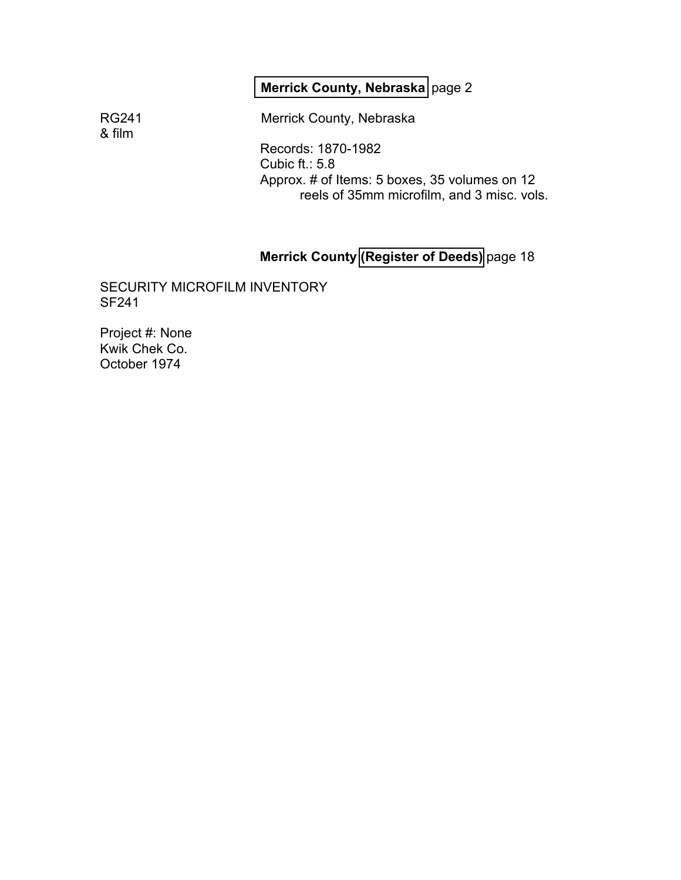# **[Merrick County, Nebraska](#page-1-0)** page 2

& film

RG241 Merrick County, Nebraska

Records: 1870-1982 Cubic ft.: 5.8 Approx. # of Items: 5 boxes, 35 volumes on 12 reels of 35mm microfilm, and 3 misc. vols.

## **Merrick County [\(Register of Deeds\)](#page-17-0)** page 18

SECURITY MICROFILM INVENTORY SF241

Project #: None Kwik Chek Co. October 1974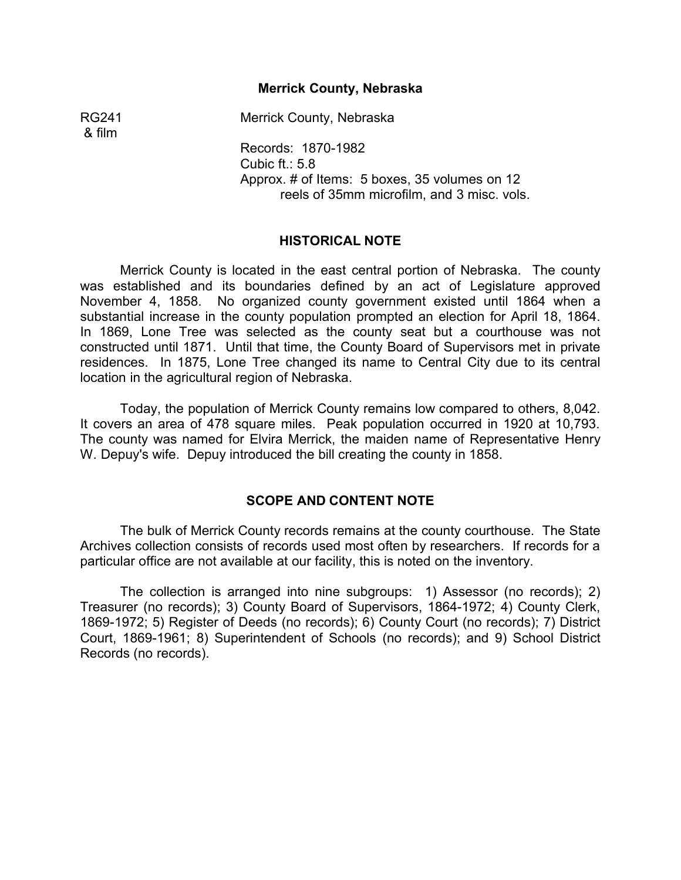#### **Merrick County, Nebraska** �

<span id="page-1-0"></span>RG241 Merrick County, Nebraska

Records: 1870-1982 Cubic ft.: 5.8 Approx. # of Items: 5 boxes, 35 volumes on 12 reels of 35mm microfilm, and 3 misc. vols.

#### **HISTORICAL NOTE**

Merrick County is located in the east central portion of Nebraska. The county was established and its boundaries defined by an act of Legislature approved November 4, 1858. No organized county government existed until 1864 when a substantial increase in the county population prompted an election for April 18, 1864. In 1869, Lone Tree was selected as the county seat but a courthouse was not constructed until 1871. Until that time, the County Board of Supervisors met in private residences. In 1875, Lone Tree changed its name to Central City due to its central location in the agricultural region of Nebraska.

Today, the population of Merrick County remains low compared to others, 8,042. It covers an area of 478 square miles. Peak population occurred in 1920 at 10,793. The county was named for Elvira Merrick, the maiden name of Representative Henry W. Depuy's wife. Depuy introduced the bill creating the county in 1858.

#### **SCOPE AND CONTENT NOTE**

The bulk of Merrick County records remains at the county courthouse. The State Archives collection consists of records used most often by researchers. If records for a particular office are not available at our facility, this is noted on the inventory.

The collection is arranged into nine subgroups: 1) Assessor (no records); 2) Treasurer (no records); 3) County Board of Supervisors, 1864-1972; 4) County Clerk, 1869-1972; 5) Register of Deeds (no records); 6) County Court (no records); 7) District Court, 1869-1961; 8) Superintendent of Schools (no records); and 9) School District Records (no records).

& film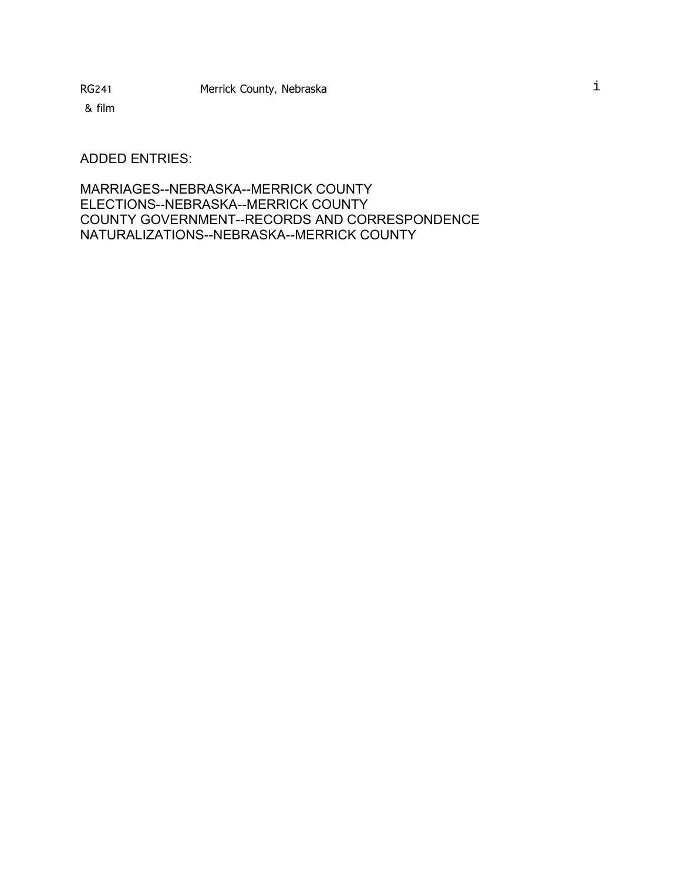ADDED ENTRIES:

MARRIAGES--NEBRASKA--MERRICK COUNTY ELECTIONS--NEBRASKA--MERRICK COUNTY COUNTY GOVERNMENT--RECORDS AND CORRESPONDENCE NATURALIZATIONS--NEBRASKA--MERRICK COUNTY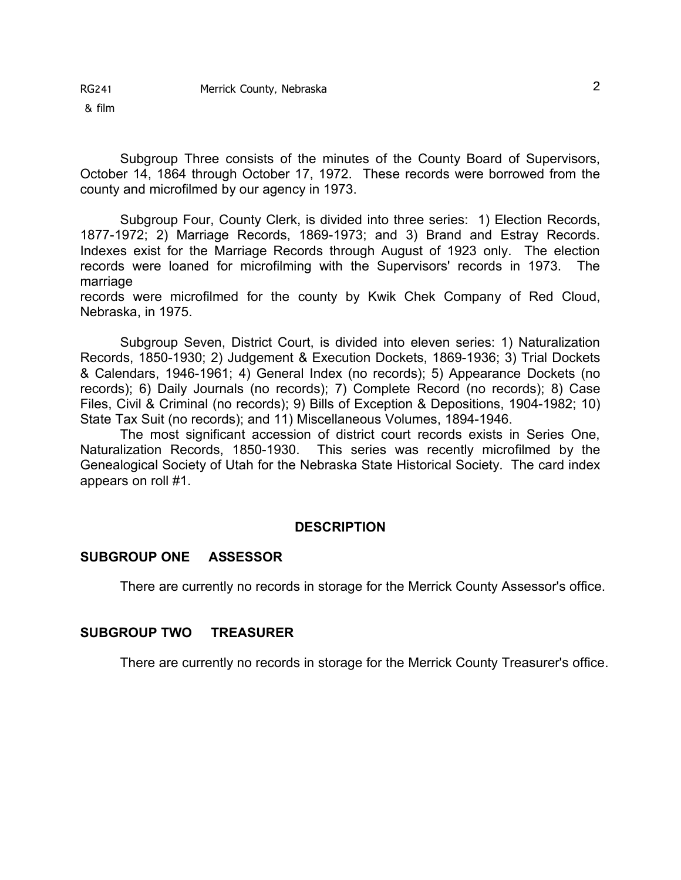Subgroup Three consists of the minutes of the County Board of Supervisors, October 14, 1864 through October 17, 1972. These records were borrowed from the county and microfilmed by our agency in 1973.

Subgroup Four, County Clerk, is divided into three series: 1) Election Records, 1877-1972; 2) Marriage Records, 1869-1973; and 3) Brand and Estray Records. Indexes exist for the Marriage Records through August of 1923 only. The election records were loaned for microfilming with the Supervisors' records in 1973. The marriage

records were microfilmed for the county by Kwik Chek Company of Red Cloud, Nebraska, in 1975.

Subgroup Seven, District Court, is divided into eleven series: 1) Naturalization Records, 1850-1930; 2) Judgement & Execution Dockets, 1869-1936; 3) Trial Dockets & Calendars, 1946-1961; 4) General Index (no records); 5) Appearance Dockets (no records); 6) Daily Journals (no records); 7) Complete Record (no records); 8) Case Files, Civil & Criminal (no records); 9) Bills of Exception & Depositions, 1904-1982; 10) State Tax Suit (no records); and 11) Miscellaneous Volumes, 1894-1946.

The most significant accession of district court records exists in Series One, Naturalization Records, 1850-1930. This series was recently microfilmed by the Genealogical Society of Utah for the Nebraska State Historical Society. The card index appears on roll #1.

#### **DESCRIPTION**

#### **SUBGROUP ONE ASSESSOR**

There are currently no records in storage for the Merrick County Assessor's office.

#### **SUBGROUP TWO TREASURER**

There are currently no records in storage for the Merrick County Treasurer's office.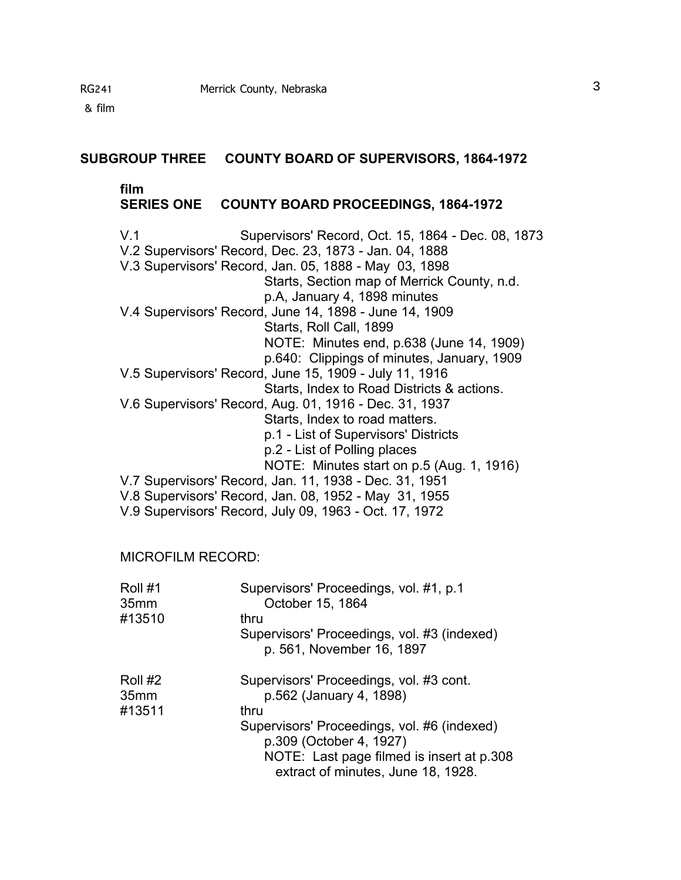#### **SUBGROUP THREE COUNTY BOARD OF SUPERVISORS, 1864-1972**

#### **film**

#### **SERIES ONE COUNTY BOARD PROCEEDINGS, 1864-1972**

V.1 Supervisors' Record, Oct. 15, 1864 - Dec. 08, 1873 V.2 Supervisors' Record, Dec. 23, 1873 - Jan. 04, 1888 V.3 Supervisors' Record, Jan. 05, 1888 - May 03, 1898 Starts, Section map of Merrick County, n.d. p.A, January 4, 1898 minutes V.4 Supervisors' Record, June 14, 1898 - June 14, 1909 Starts, Roll Call, 1899 NOTE: Minutes end, p.638 (June 14, 1909) p.640: Clippings of minutes, January, 1909 V.5 Supervisors' Record, June 15, 1909 - July 11, 1916 Starts, Index to Road Districts & actions. V.6 Supervisors' Record, Aug. 01, 1916 - Dec. 31, 1937 Starts, Index to road matters. p.1 - List of Supervisors' Districts p.2 - List of Polling places NOTE: Minutes start on p.5 (Aug. 1, 1916) V.7 Supervisors' Record, Jan. 11, 1938 - Dec. 31, 1951 V.8 Supervisors' Record, Jan. 08, 1952 - May 31, 1955 V.9 Supervisors' Record, July 09, 1963 - Oct. 17, 1972

#### MICROFILM RECORD:

| Roll #1<br>35 <sub>mm</sub> | Supervisors' Proceedings, vol. #1, p.1<br>October 15, 1864                      |
|-----------------------------|---------------------------------------------------------------------------------|
| #13510                      | thru                                                                            |
|                             | Supervisors' Proceedings, vol. #3 (indexed)                                     |
|                             | p. 561, November 16, 1897                                                       |
| Roll #2                     | Supervisors' Proceedings, vol. #3 cont.                                         |
| 35 <sub>mm</sub>            | p.562 (January 4, 1898)                                                         |
| #13511                      | thru                                                                            |
|                             | Supervisors' Proceedings, vol. #6 (indexed)<br>p.309 (October 4, 1927)          |
|                             |                                                                                 |
|                             | NOTE: Last page filmed is insert at p.308<br>extract of minutes, June 18, 1928. |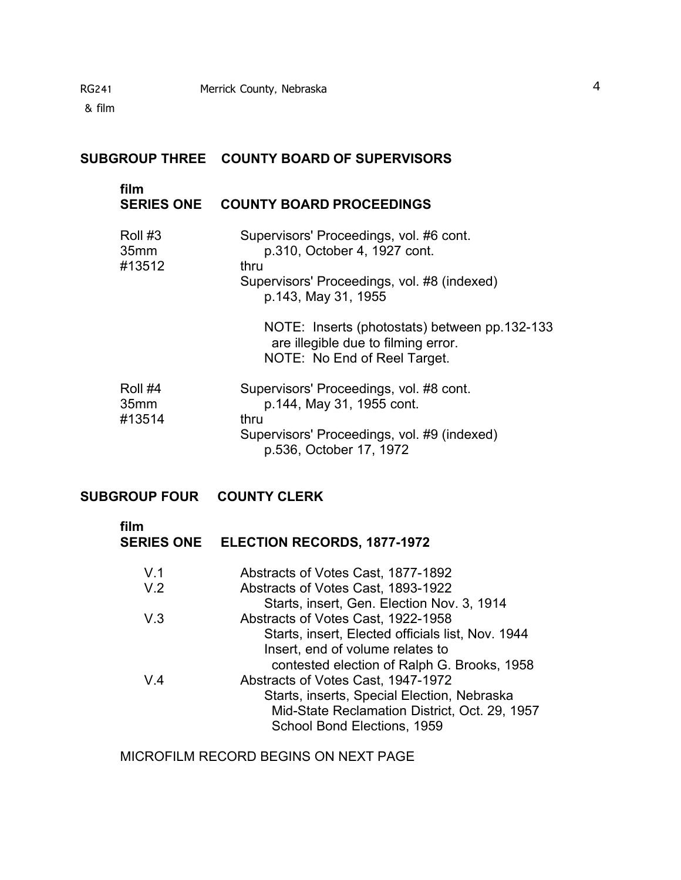# **SUBGROUP THREE COUNTY BOARD OF SUPERVISORS**

# **film**

#### **SERIES ONE COUNTY BOARD PROCEEDINGS**

| Roll #3<br>35mm<br>#13512             | Supervisors' Proceedings, vol. #6 cont.<br>p.310, October 4, 1927 cont.<br>thru<br>Supervisors' Proceedings, vol. #8 (indexed)<br>p.143, May 31, 1955  |
|---------------------------------------|--------------------------------------------------------------------------------------------------------------------------------------------------------|
|                                       | NOTE: Inserts (photostats) between pp.132-133<br>are illegible due to filming error.<br>NOTE: No End of Reel Target.                                   |
| Roll #4<br>35 <sub>mm</sub><br>#13514 | Supervisors' Proceedings, vol. #8 cont.<br>p.144, May 31, 1955 cont.<br>thru<br>Supervisors' Proceedings, vol. #9 (indexed)<br>p.536, October 17, 1972 |

# **SUBGROUP FOUR COUNTY CLERK**

| film           | SERIES ONE ELECTION RECORDS, 1877-1972            |
|----------------|---------------------------------------------------|
| V <sub>1</sub> | Abstracts of Votes Cast, 1877-1892                |
| V.2            | Abstracts of Votes Cast, 1893-1922                |
|                | Starts, insert, Gen. Election Nov. 3, 1914        |
| V.3            | Abstracts of Votes Cast, 1922-1958                |
|                | Starts, insert, Elected officials list, Nov. 1944 |
|                | Insert, end of volume relates to                  |
|                | contested election of Ralph G. Brooks, 1958       |
| V.4            | Abstracts of Votes Cast, 1947-1972                |
|                | Starts, inserts, Special Election, Nebraska       |
|                | Mid-State Reclamation District, Oct. 29, 1957     |
|                | School Bond Elections, 1959                       |

MICROFILM RECORD BEGINS ON NEXT PAGE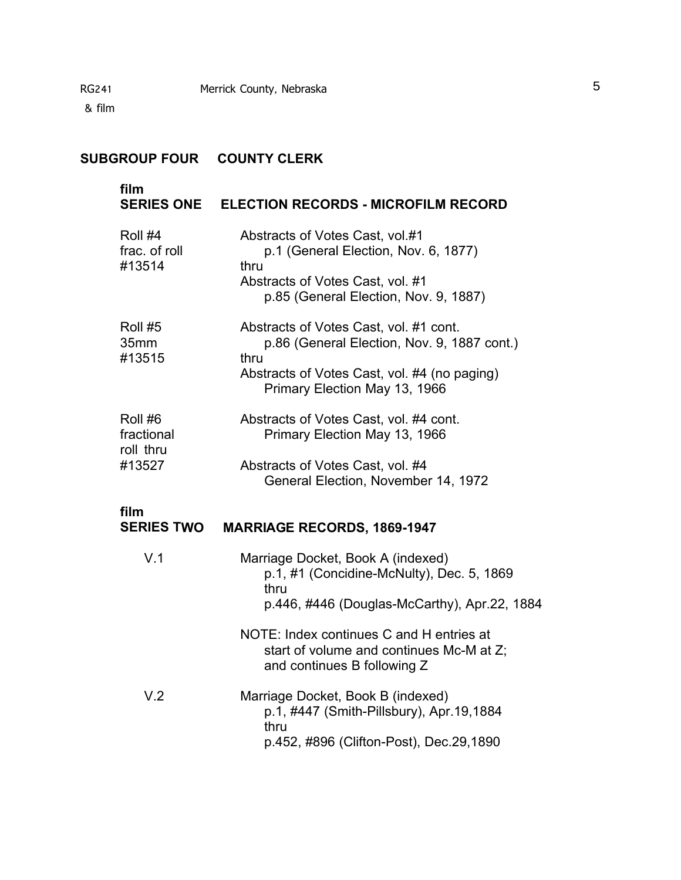# **SUBGROUP FOUR COUNTY CLERK**

#### **film**

# **SERIES ONE ELECTION RECORDS - MICROFILM RECORD**

| Roll #4<br>frac. of roll<br>#13514           | Abstracts of Votes Cast, vol.#1<br>p.1 (General Election, Nov. 6, 1877)<br>thru<br>Abstracts of Votes Cast, vol. #1<br>p.85 (General Election, Nov. 9, 1887)                   |
|----------------------------------------------|--------------------------------------------------------------------------------------------------------------------------------------------------------------------------------|
| Roll #5<br>35mm<br>#13515                    | Abstracts of Votes Cast, vol. #1 cont.<br>p.86 (General Election, Nov. 9, 1887 cont.)<br>thru<br>Abstracts of Votes Cast, vol. #4 (no paging)<br>Primary Election May 13, 1966 |
| Roll #6<br>fractional<br>roll thru<br>#13527 | Abstracts of Votes Cast, vol. #4 cont.<br>Primary Election May 13, 1966<br>Abstracts of Votes Cast, vol. #4<br>General Election, November 14, 1972                             |
| film<br><b>SERIES TWO</b>                    | <b>MARRIAGE RECORDS, 1869-1947</b>                                                                                                                                             |
| V.1                                          | Marriage Docket, Book A (indexed)<br>p.1, #1 (Concidine-McNulty), Dec. 5, 1869<br>thru<br>p.446, #446 (Douglas-McCarthy), Apr.22, 1884                                         |
|                                              | NOTE: Index continues C and H entries at<br>start of volume and continues Mc-M at Z;<br>and continues B following Z                                                            |
| \/ 2                                         | Marriage Docket Rook R (indexed)                                                                                                                                               |

V.2 Marriage Docket, Book B (indexed) p.1, #447 (Smith-Pillsbury), Apr.19,1884 thru p.452, #896 (Clifton-Post), Dec.29,1890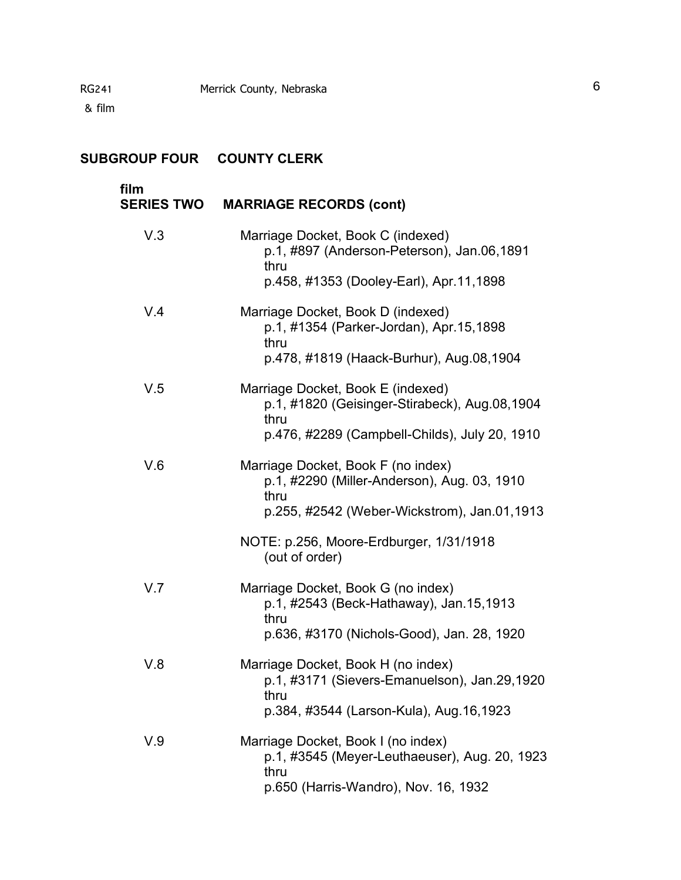# **SUBGROUP FOUR COUNTY CLERK**

| film<br><b>SERIES TWO</b> | <b>MARRIAGE RECORDS (cont)</b>                                                                                                           |
|---------------------------|------------------------------------------------------------------------------------------------------------------------------------------|
| V.3                       | Marriage Docket, Book C (indexed)<br>p.1, #897 (Anderson-Peterson), Jan.06,1891<br>thru                                                  |
|                           | p.458, #1353 (Dooley-Earl), Apr.11,1898                                                                                                  |
| V.4                       | Marriage Docket, Book D (indexed)<br>p.1, #1354 (Parker-Jordan), Apr.15,1898<br>thru<br>p.478, #1819 (Haack-Burhur), Aug.08,1904         |
|                           |                                                                                                                                          |
| V.5                       | Marriage Docket, Book E (indexed)<br>p.1, #1820 (Geisinger-Stirabeck), Aug.08,1904<br>thru                                               |
|                           | p.476, #2289 (Campbell-Childs), July 20, 1910                                                                                            |
| V.6                       | Marriage Docket, Book F (no index)<br>p.1, #2290 (Miller-Anderson), Aug. 03, 1910<br>thru<br>p.255, #2542 (Weber-Wickstrom), Jan.01,1913 |
|                           | NOTE: p.256, Moore-Erdburger, 1/31/1918<br>(out of order)                                                                                |
| V.7                       | Marriage Docket, Book G (no index)<br>p.1, #2543 (Beck-Hathaway), Jan.15,1913<br>thru<br>p.636, #3170 (Nichols-Good), Jan. 28, 1920      |
| V.8                       | Marriage Docket, Book H (no index)<br>p.1, #3171 (Sievers-Emanuelson), Jan.29,1920<br>thru<br>p.384, #3544 (Larson-Kula), Aug.16,1923    |
| V.9                       | Marriage Docket, Book I (no index)<br>p.1, #3545 (Meyer-Leuthaeuser), Aug. 20, 1923<br>thru<br>p.650 (Harris-Wandro), Nov. 16, 1932      |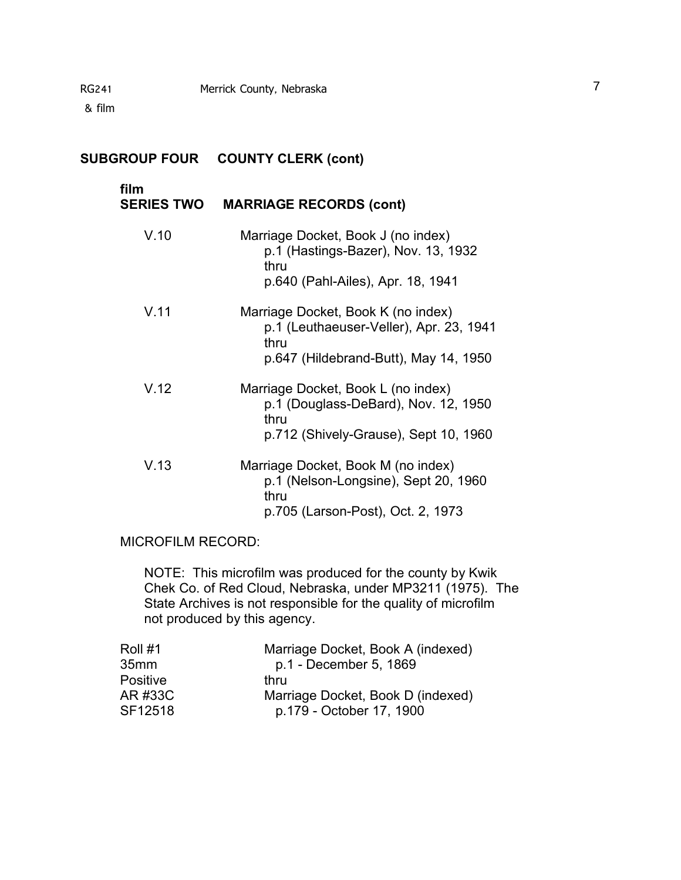# **SUBGROUP FOUR COUNTY CLERK (cont)**

| film<br><b>SERIES TWO</b> | <b>MARRIAGE RECORDS (cont)</b>                                                                                                 |
|---------------------------|--------------------------------------------------------------------------------------------------------------------------------|
| V.10                      | Marriage Docket, Book J (no index)<br>p.1 (Hastings-Bazer), Nov. 13, 1932<br>thru<br>p.640 (Pahl-Ailes), Apr. 18, 1941         |
| V.11                      | Marriage Docket, Book K (no index)<br>p.1 (Leuthaeuser-Veller), Apr. 23, 1941<br>thru<br>p.647 (Hildebrand-Butt), May 14, 1950 |
| V.12                      | Marriage Docket, Book L (no index)<br>p.1 (Douglass-DeBard), Nov. 12, 1950<br>thru<br>p.712 (Shively-Grause), Sept 10, 1960    |
| V.13                      | Marriage Docket, Book M (no index)<br>p.1 (Nelson-Longsine), Sept 20, 1960<br>thru<br>p.705 (Larson-Post), Oct. 2, 1973        |

#### MICROFILM RECORD:

NOTE: This microfilm was produced for the county by Kwik Chek Co. of Red Cloud, Nebraska, under MP3211 (1975). The State Archives is not responsible for the quality of microfilm not produced by this agency.

| Roll #1          | Marriage Docket, Book A (indexed) |
|------------------|-----------------------------------|
| 35 <sub>mm</sub> | p.1 - December 5, 1869            |
| <b>Positive</b>  | thru                              |
| AR #33C          | Marriage Docket, Book D (indexed) |
| SF12518          | p.179 - October 17, 1900          |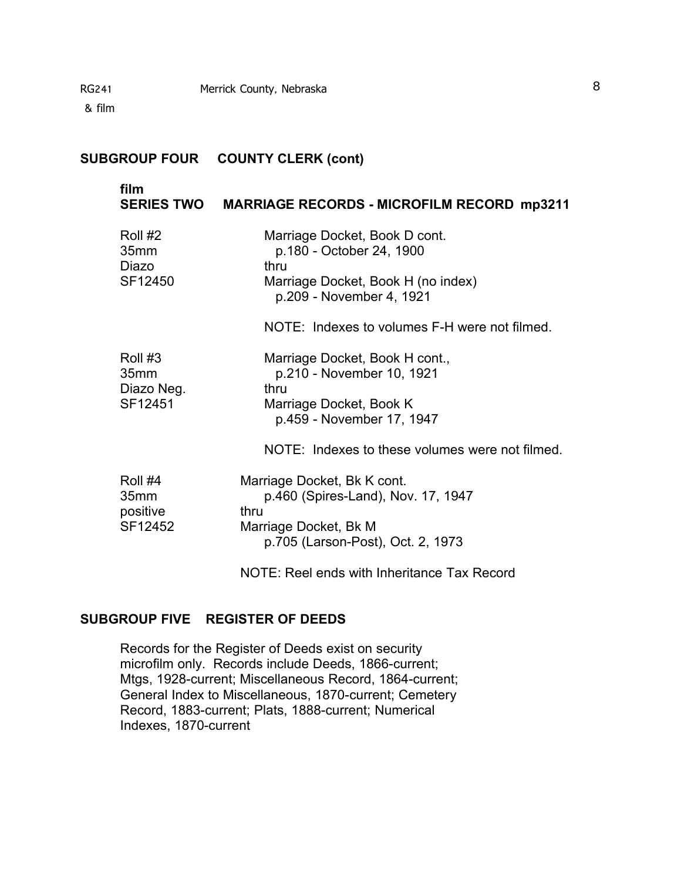#### **SUBGROUP FOUR COUNTY CLERK (cont)**

# **film SERIES TWO MARRIAGE RECORDS - MICROFILM RECORD mp3211**  Roll #2 Marriage Docket, Book D cont. 35mm p.180 - October 24, 1900 Diazo thru<br>SF12450 Marr Marriage Docket, Book H (no index)

p.209 - November 4, 1921

NOTE: Indexes to volumes F-H were not filmed.

| Roll #3    | Marriage Docket, Book H cont., |  |
|------------|--------------------------------|--|
| 35mm       | p.210 - November 10, 1921      |  |
| Diazo Neg. | thru                           |  |
| SF12451    | Marriage Docket, Book K        |  |
|            | p.459 - November 17, 1947      |  |

NOTE: Indexes to these volumes were not filmed.

| Roll #4          | Marriage Docket, Bk K cont.        |
|------------------|------------------------------------|
| 35 <sub>mm</sub> | p.460 (Spires-Land), Nov. 17, 1947 |
| positive         | thru                               |
| SF12452          | Marriage Docket, Bk M              |
|                  | p.705 (Larson-Post), Oct. 2, 1973  |

NOTE: Reel ends with Inheritance Tax Record

## **SUBGROUP FIVE REGISTER OF DEEDS**

Records for the Register of Deeds exist on security microfilm only. Records include Deeds, 1866-current; Mtgs, 1928-current; Miscellaneous Record, 1864-current; General Index to Miscellaneous, 1870-current; Cemetery Record, 1883-current; Plats, 1888-current; Numerical Indexes, 1870-current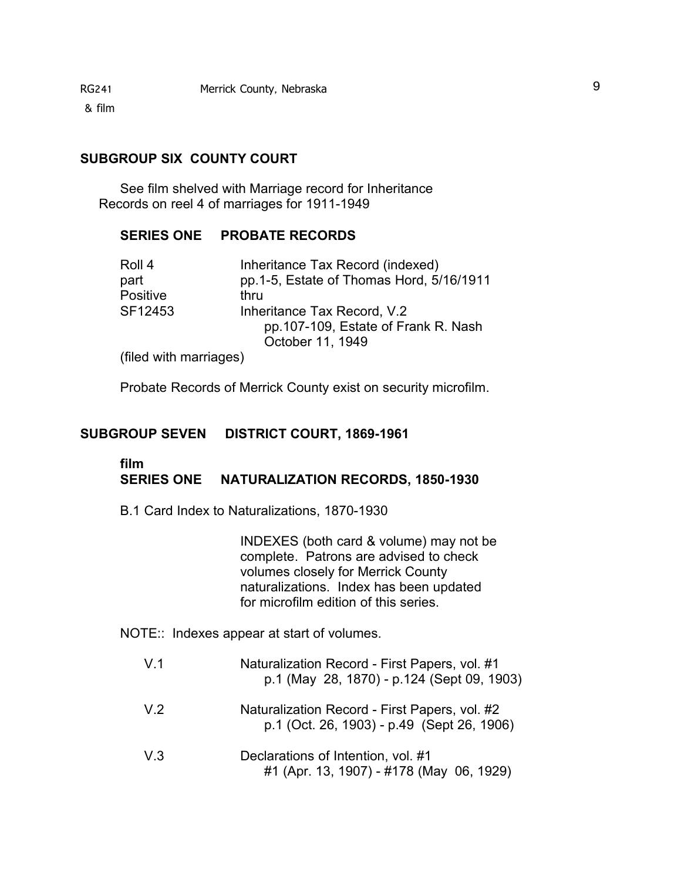# **SUBGROUP SIX COUNTY COURT**

See film shelved with Marriage record for Inheritance Records on reel 4 of marriages for 1911-1949

#### **SERIES ONE PROBATE RECORDS**

| Roll 4                           | Inheritance Tax Record (indexed)         |
|----------------------------------|------------------------------------------|
| part                             | pp.1-5, Estate of Thomas Hord, 5/16/1911 |
| Positive                         | thru                                     |
| SF12453                          | Inheritance Tax Record, V.2              |
|                                  | pp.107-109, Estate of Frank R. Nash      |
|                                  | October 11, 1949                         |
| الممسم والسممس والمارين المملكان |                                          |

(filed with marriages)

Probate Records of Merrick County exist on security microfilm.

#### **SUBGROUP SEVEN DISTRICT COURT, 1869-1961**

#### **film SERIES ONE NATURALIZATION RECORDS, 1850-1930**

B.1 Card Index to Naturalizations, 1870-1930

INDEXES (both card & volume) may not be complete. Patrons are advised to check volumes closely for Merrick County naturalizations. Index has been updated for microfilm edition of this series.

NOTE:: Indexes appear at start of volumes.

| V.1            | Naturalization Record - First Papers, vol. #1<br>p.1 (May 28, 1870) - p.124 (Sept 09, 1903) |
|----------------|---------------------------------------------------------------------------------------------|
| V <sub>2</sub> | Naturalization Record - First Papers, vol. #2<br>p.1 (Oct. 26, 1903) - p.49 (Sept 26, 1906) |
| V.3            | Declarations of Intention, vol. #1<br>#1 (Apr. 13, 1907) - #178 (May 06, 1929)              |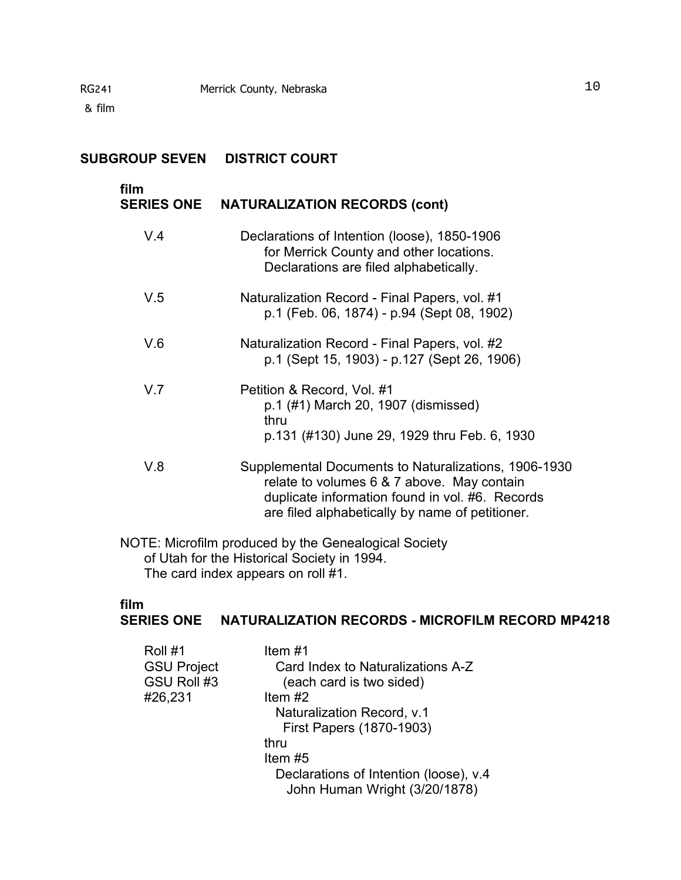## **SUBGROUP SEVEN DISTRICT COURT**

#### **film** �

# **SERIES ONE NATURALIZATION RECORDS (cont)**

| V.4 | Declarations of Intention (loose), 1850-1906<br>for Merrick County and other locations.<br>Declarations are filed alphabetically.                                                                        |
|-----|----------------------------------------------------------------------------------------------------------------------------------------------------------------------------------------------------------|
| V.5 | Naturalization Record - Final Papers, vol. #1<br>p.1 (Feb. 06, 1874) - p.94 (Sept 08, 1902)                                                                                                              |
| V.6 | Naturalization Record - Final Papers, vol. #2<br>p.1 (Sept 15, 1903) - p.127 (Sept 26, 1906)                                                                                                             |
| V.7 | Petition & Record, Vol. #1<br>p.1 (#1) March 20, 1907 (dismissed)<br>thru<br>p.131 (#130) June 29, 1929 thru Feb. 6, 1930                                                                                |
| V.8 | Supplemental Documents to Naturalizations, 1906-1930<br>relate to volumes 6 & 7 above. May contain<br>duplicate information found in vol. #6. Records<br>are filed alphabetically by name of petitioner. |

NOTE: Microfilm produced by the Genealogical Society of Utah for the Historical Society in 1994. The card index appears on roll #1.

# **film**

## **SERIES ONE NATURALIZATION RECORDS - MICROFILM RECORD MP4218**

| Roll #1            | Item #1                                                                 |
|--------------------|-------------------------------------------------------------------------|
| <b>GSU Project</b> | Card Index to Naturalizations A-Z                                       |
| GSU Roll #3        | (each card is two sided)                                                |
| #26,231            | Item $#2$                                                               |
|                    | Naturalization Record, v.1                                              |
|                    | First Papers (1870-1903)                                                |
|                    | thru                                                                    |
|                    | Item $#5$                                                               |
|                    | Declarations of Intention (loose), v.4<br>John Human Wright (3/20/1878) |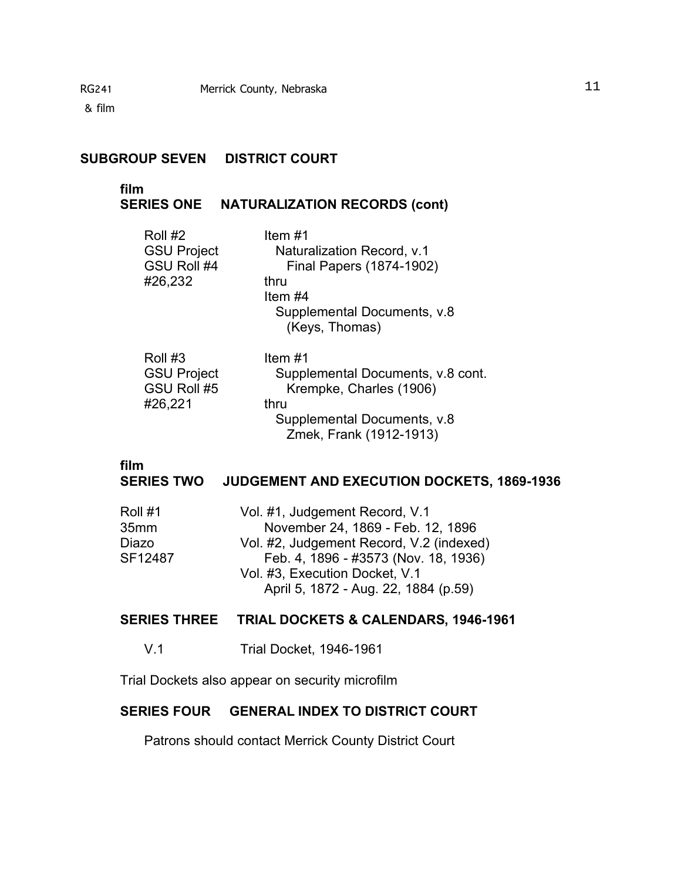## **SUBGROUP SEVEN DISTRICT COURT**

#### **film** �

# **SERIES ONE NATURALIZATION RECORDS (cont)**

| Roll #2                           | ltem #1                                                |
|-----------------------------------|--------------------------------------------------------|
| <b>GSU Project</b>                | Naturalization Record, v.1                             |
| GSU Roll #4                       | Final Papers (1874-1902)                               |
| #26,232                           | thru                                                   |
|                                   | Item #4                                                |
|                                   | Supplemental Documents, v.8                            |
|                                   | (Keys, Thomas)                                         |
|                                   |                                                        |
| Roll #3                           | Item #1                                                |
|                                   |                                                        |
|                                   |                                                        |
| <b>GSU Project</b><br>GSU Roll #5 | Supplemental Documents, v.8 cont.                      |
|                                   | Krempke, Charles (1906)<br>thru                        |
| #26,221                           |                                                        |
|                                   | Supplemental Documents, v.8<br>Zmek, Frank (1912-1913) |

# **film**

# **SERIES TWO JUDGEMENT AND EXECUTION DOCKETS, 1869-1936**

| Vol. #1, Judgement Record, V.1           |
|------------------------------------------|
| November 24, 1869 - Feb. 12, 1896        |
| Vol. #2, Judgement Record, V.2 (indexed) |
| Feb. 4, 1896 - #3573 (Nov. 18, 1936)     |
| Vol. #3, Execution Docket, V.1           |
| April 5, 1872 - Aug. 22, 1884 (p.59)     |
|                                          |

# **SERIES THREE TRIAL DOCKETS & CALENDARS, 1946-1961**

V.1 Trial Docket, 1946-1961

Trial Dockets also appear on security microfilm

## **SERIES FOUR GENERAL INDEX TO DISTRICT COURT**

Patrons should contact Merrick County District Court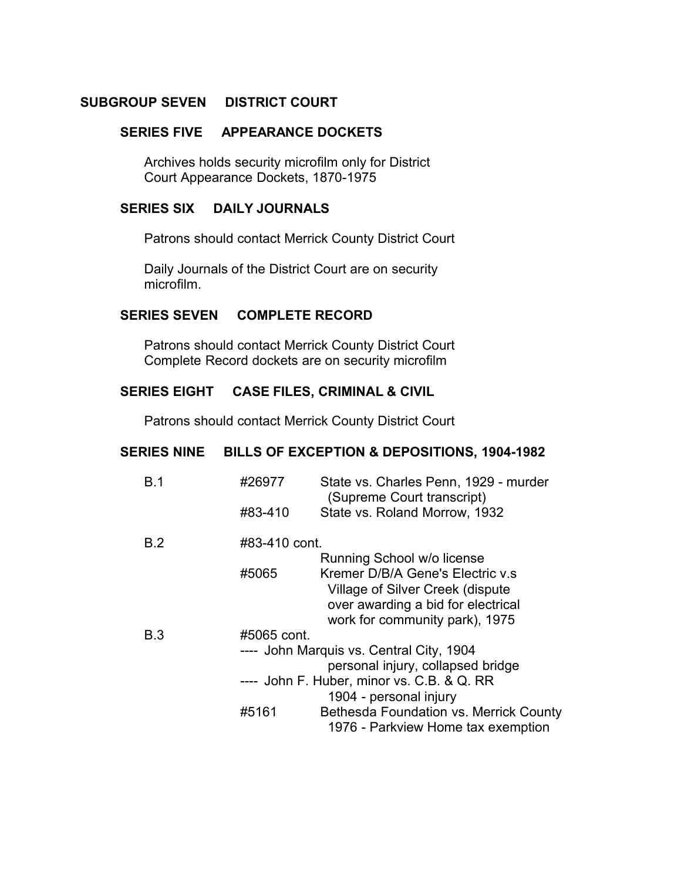## **SUBGROUP SEVEN DISTRICT COURT**

#### **SERIES FIVE APPEARANCE DOCKETS**

Archives holds security microfilm only for District Court Appearance Dockets, 1870-1975

## **SERIES SIX** � **DAILY JOURNALS**

Patrons should contact Merrick County District Court

Daily Journals of the District Court are on security microfilm.

#### **SERIES SEVEN COMPLETE RECORD**

Patrons should contact Merrick County District Court Complete Record dockets are on security microfilm

#### **SERIES EIGHT CASE FILES, CRIMINAL & CIVIL**

Patrons should contact Merrick County District Court

## **SERIES NINE BILLS OF EXCEPTION & DEPOSITIONS, 1904-1982**

| B.1        | #26977        | State vs. Charles Penn, 1929 - murder<br>(Supreme Court transcript) |
|------------|---------------|---------------------------------------------------------------------|
|            | #83-410       | State vs. Roland Morrow, 1932                                       |
| <b>B.2</b> | #83-410 cont. |                                                                     |
|            |               | Running School w/o license                                          |
|            | #5065         | Kremer D/B/A Gene's Electric v.s.                                   |
|            |               | Village of Silver Creek (dispute                                    |
|            |               | over awarding a bid for electrical                                  |
|            |               | work for community park), 1975                                      |
| B.3        | #5065 cont.   |                                                                     |
|            |               | ---- John Marquis vs. Central City, 1904                            |
|            |               | personal injury, collapsed bridge                                   |
|            |               | ---- John F. Huber, minor vs. C.B. & Q. RR                          |
|            |               | 1904 - personal injury                                              |
|            | #5161         | Bethesda Foundation vs. Merrick County                              |
|            |               | 1976 - Parkview Home tax exemption                                  |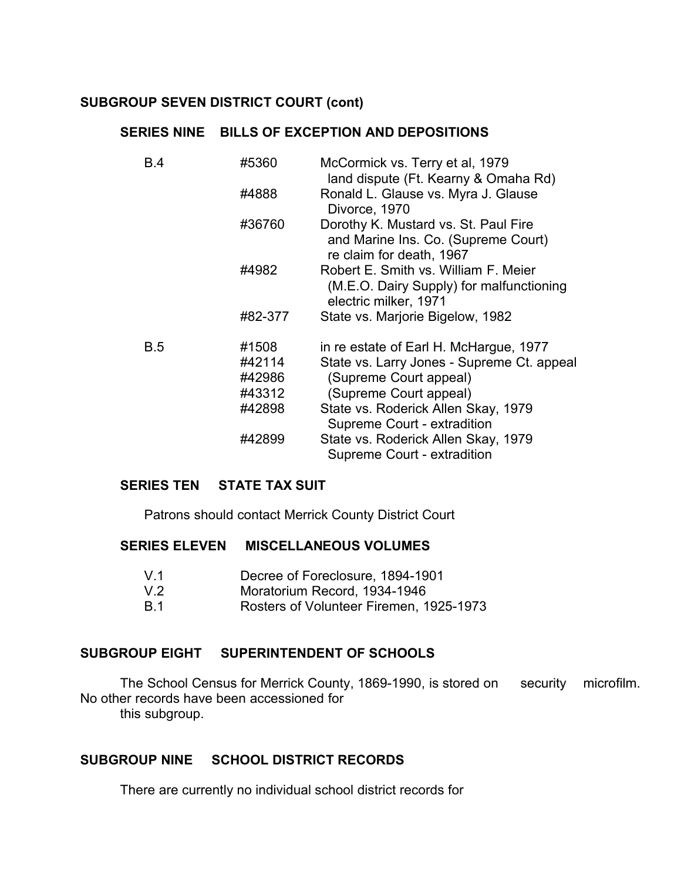# **SUBGROUP SEVEN DISTRICT COURT (cont)**

## **SERIES NINE BILLS OF EXCEPTION AND DEPOSITIONS**

| <b>B.4</b> | #5360   | McCormick vs. Terry et al, 1979<br>land dispute (Ft. Kearny & Omaha Rd)                                   |
|------------|---------|-----------------------------------------------------------------------------------------------------------|
|            | #4888   | Ronald L. Glause vs. Myra J. Glause<br>Divorce, 1970                                                      |
|            | #36760  | Dorothy K. Mustard vs. St. Paul Fire<br>and Marine Ins. Co. (Supreme Court)<br>re claim for death, 1967   |
|            | #4982   | Robert E. Smith vs. William F. Meier<br>(M.E.O. Dairy Supply) for malfunctioning<br>electric milker, 1971 |
|            | #82-377 | State vs. Marjorie Bigelow, 1982                                                                          |
| B.5        | #1508   | in re estate of Earl H. McHargue, 1977                                                                    |
|            | #42114  | State vs. Larry Jones - Supreme Ct. appeal                                                                |
|            | #42986  | (Supreme Court appeal)                                                                                    |
|            | #43312  | (Supreme Court appeal)                                                                                    |
|            | #42898  | State vs. Roderick Allen Skay, 1979<br>Supreme Court - extradition                                        |
|            | #42899  | State vs. Roderick Allen Skay, 1979<br>Supreme Court - extradition                                        |

#### **SERIES TEN STATE TAX SUIT**

Patrons should contact Merrick County District Court

## **SERIES ELEVEN MISCELLANEOUS VOLUMES**

| V.1 | Decree of Foreclosure, 1894-1901 |  |
|-----|----------------------------------|--|
|     |                                  |  |

- V.2 Moratorium Record, 1934-1946
- B.1 � Rosters of Volunteer Firemen, 1925-1973

# **SUBGROUP EIGHT SUPERINTENDENT OF SCHOOLS**

The School Census for Merrick County, 1869-1990, is stored on security microfilm. No other records have been accessioned for this subgroup.

**SUBGROUP NINE SCHOOL DISTRICT RECORDS** 

There are currently no individual school district records for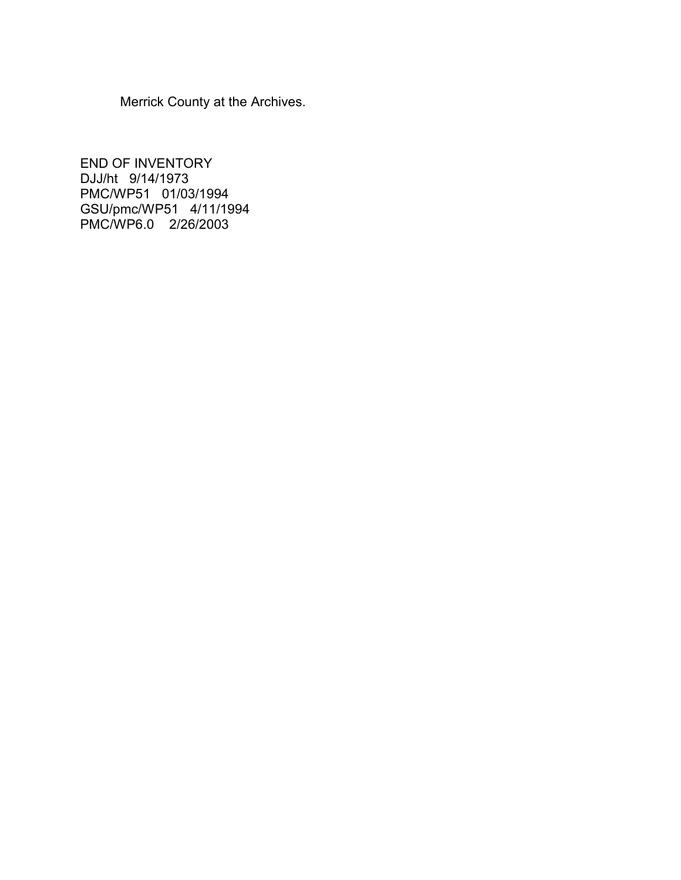Merrick County at the Archives.

END OF INVENTORY DJJ/ht 9/14/1973 PMC/WP51 01/03/1994 GSU/pmc/WP51 4/11/1994 PMC/WP6.0 2/26/2003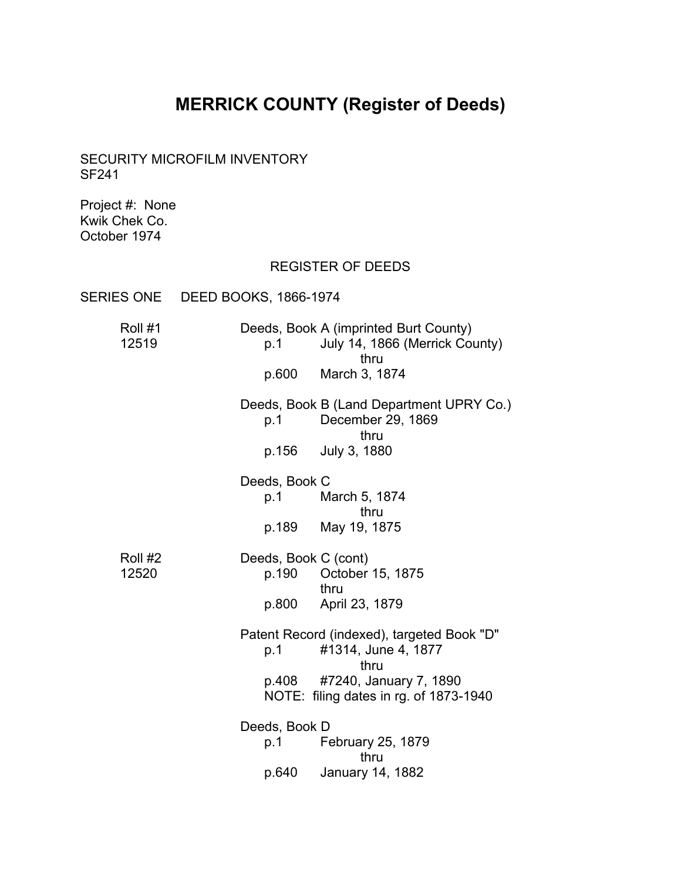# **MERRICK COUNTY (Register of Deeds)**

<span id="page-17-0"></span>SECURITY MICROFILM INVENTORY SF241

Project #: None Kwik Chek Co. October 1974

# REGISTER OF DEEDS

| SERIES ONE DEED BOOKS, 1866-1974 |                                        |                                                                                 |
|----------------------------------|----------------------------------------|---------------------------------------------------------------------------------|
| Roll #1<br>12519                 | p.1                                    | Deeds, Book A (imprinted Burt County)<br>July 14, 1866 (Merrick County)<br>thru |
|                                  | p.600                                  | March 3, 1874                                                                   |
|                                  | p.1                                    | Deeds, Book B (Land Department UPRY Co.)<br>December 29, 1869<br>thru           |
|                                  |                                        | p.156 July 3, 1880                                                              |
|                                  | Deeds, Book C                          | p.1 March 5, 1874<br>thru                                                       |
|                                  |                                        | p.189 May 19, 1875                                                              |
| Roll #2<br>12520                 | Deeds, Book C (cont)<br>p.190<br>p.800 | October 15, 1875<br>thru<br>April 23, 1879                                      |
|                                  | p.1                                    | Patent Record (indexed), targeted Book "D"<br>#1314, June 4, 1877<br>thru       |
|                                  | p.408                                  | #7240, January 7, 1890<br>NOTE: filing dates in rg. of 1873-1940                |
|                                  | Deeds, Book D<br>p.1                   | February 25, 1879                                                               |
|                                  | p.640                                  | thru<br>January 14, 1882                                                        |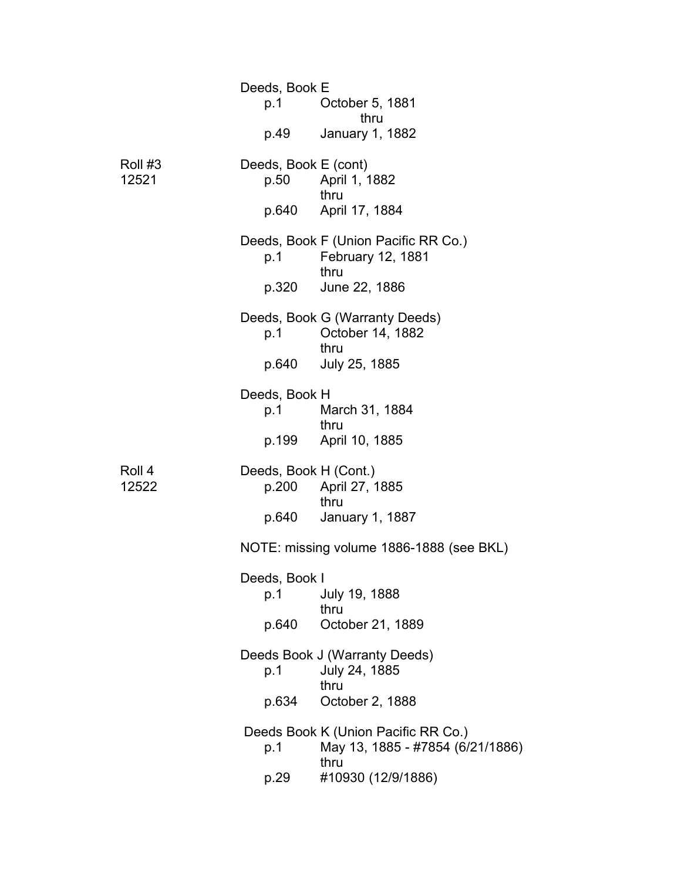|                  | Deeds, Book E<br>p.1<br>p.49 | October 5, 1881<br>thru<br>January 1, 1882                                      |
|------------------|------------------------------|---------------------------------------------------------------------------------|
| Roll #3<br>12521 | Deeds, Book E (cont)         | p.50 April 1, 1882                                                              |
|                  |                              | thru<br>p.640 April 17, 1884                                                    |
|                  | p.1                          | Deeds, Book F (Union Pacific RR Co.)<br>February 12, 1881<br>thru               |
|                  | p.320                        | June 22, 1886                                                                   |
|                  | p.1                          | Deeds, Book G (Warranty Deeds)<br>October 14, 1882<br>thru                      |
|                  | p.640                        | July 25, 1885                                                                   |
|                  | Deeds, Book H<br>p.1         | March 31, 1884<br>thru                                                          |
|                  |                              | p.199 April 10, 1885                                                            |
| Roll 4<br>12522  | Deeds, Book H (Cont.)        | p.200 April 27, 1885<br>thru                                                    |
|                  | p.640                        | January 1, 1887                                                                 |
|                  |                              | NOTE: missing volume 1886-1888 (see BKL)                                        |
|                  | Deeds, Book I<br>p.1         | July 19, 1888<br>thru                                                           |
|                  | p.640                        | October 21, 1889                                                                |
|                  | p.1                          | Deeds Book J (Warranty Deeds)<br>July 24, 1885<br>thru                          |
|                  | p.634                        | October 2, 1888                                                                 |
|                  | p.1                          | Deeds Book K (Union Pacific RR Co.)<br>May 13, 1885 - #7854 (6/21/1886)<br>thru |
|                  | p.29                         | #10930 (12/9/1886)                                                              |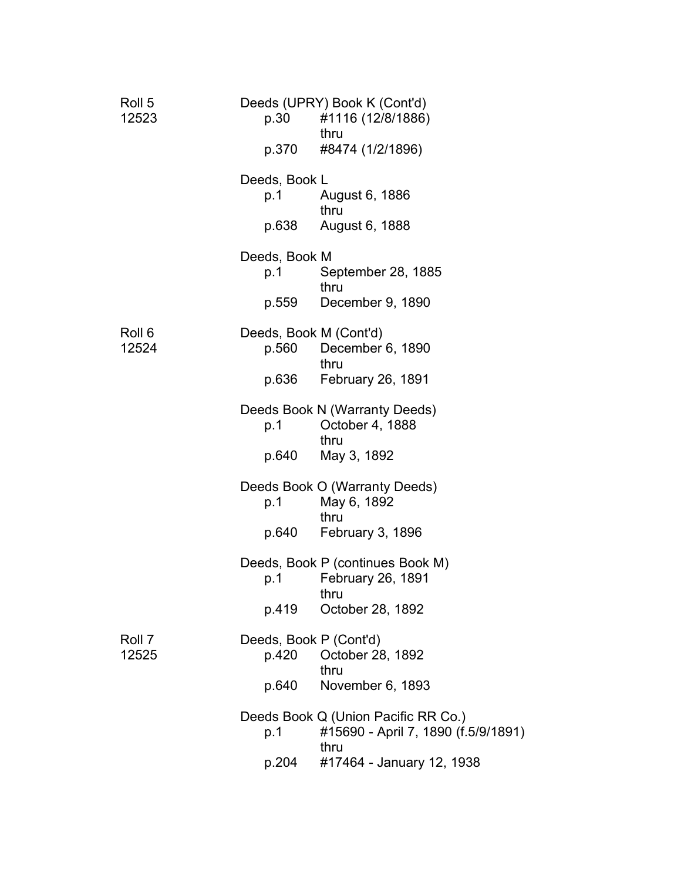| Roll 5<br>12523 | p.30                   | Deeds (UPRY) Book K (Cont'd)<br>#1116 (12/8/1886)<br>thru                  |
|-----------------|------------------------|----------------------------------------------------------------------------|
|                 | p.370                  | #8474 (1/2/1896)                                                           |
|                 | Deeds, Book L          |                                                                            |
|                 | p.1                    | August 6, 1886<br>thru                                                     |
|                 | p.638                  | August 6, 1888                                                             |
|                 | Deeds, Book M          |                                                                            |
|                 | p.1                    | September 28, 1885<br>thru                                                 |
|                 | p.559                  | December 9, 1890                                                           |
| Roll 6          | Deeds, Book M (Cont'd) |                                                                            |
| 12524           | p.560                  | December 6, 1890<br>thru                                                   |
|                 | p.636                  | February 26, 1891                                                          |
|                 |                        | Deeds Book N (Warranty Deeds)                                              |
|                 | p.1                    | October 4, 1888<br>thru                                                    |
|                 | p.640                  | May 3, 1892                                                                |
|                 |                        | Deeds Book O (Warranty Deeds)                                              |
|                 | p.1                    | May 6, 1892<br>thru                                                        |
|                 | p.640                  | February 3, 1896                                                           |
|                 |                        | Deeds, Book P (continues Book M)                                           |
|                 | p.1                    | February 26, 1891<br>thru                                                  |
|                 | p.419                  | October 28, 1892                                                           |
| Roll 7          | Deeds, Book P (Cont'd) |                                                                            |
| 12525           | p.420                  | October 28, 1892<br>thru                                                   |
|                 | p.640                  | November 6, 1893                                                           |
|                 | p.1                    | Deeds Book Q (Union Pacific RR Co.)<br>#15690 - April 7, 1890 (f.5/9/1891) |
|                 | p.204                  | thru<br>#17464 - January 12, 1938                                          |
|                 |                        |                                                                            |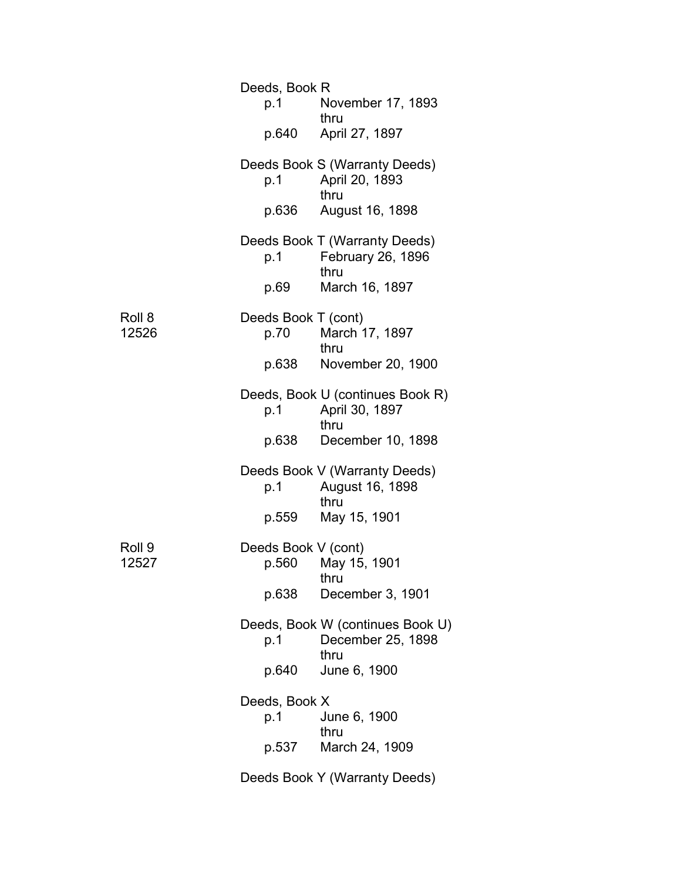|                 | Deeds, Book R<br>p.1         | November 17, 1893                                             |
|-----------------|------------------------------|---------------------------------------------------------------|
|                 |                              | thru<br>p.640 April 27, 1897                                  |
|                 | p.1                          | Deeds Book S (Warranty Deeds)<br>April 20, 1893<br>thru       |
|                 | p.636                        | August 16, 1898                                               |
|                 | p.1                          | Deeds Book T (Warranty Deeds)<br>February 26, 1896<br>thru    |
|                 | p.69                         | March 16, 1897                                                |
| Roll 8<br>12526 | Deeds Book T (cont)<br>p.70  | March 17, 1897<br>thru                                        |
|                 | p.638                        | November 20, 1900                                             |
|                 | p.1                          | Deeds, Book U (continues Book R)<br>April 30, 1897<br>thru    |
|                 | p.638                        | December 10, 1898                                             |
|                 | p.1                          | Deeds Book V (Warranty Deeds)<br>August 16, 1898<br>thru      |
|                 | p.559                        | May 15, 1901                                                  |
| Roll 9<br>12527 | Deeds Book V (cont)<br>p.560 | May 15, 1901<br>thru                                          |
|                 | p.638                        | December 3, 1901                                              |
|                 | p.1                          | Deeds, Book W (continues Book U)<br>December 25, 1898<br>thru |
|                 | p.640                        | June 6, 1900                                                  |
|                 | Deeds, Book X<br>p.1         | June 6, 1900                                                  |
|                 | p.537                        | thru<br>March 24, 1909                                        |
|                 |                              | Deeds Book Y (Warranty Deeds)                                 |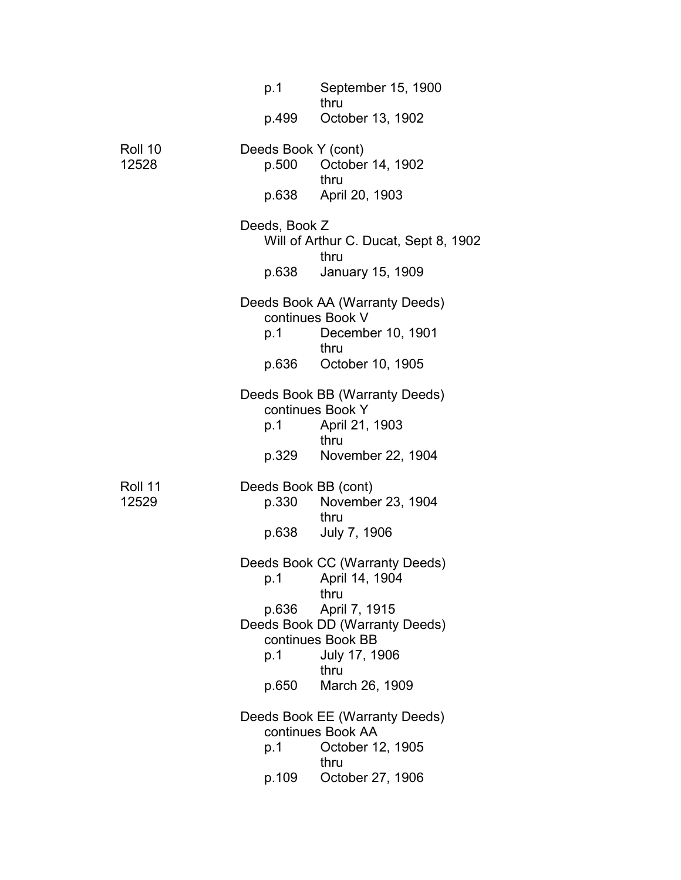|                  | p.1                           | September 15, 1900                                                                            |
|------------------|-------------------------------|-----------------------------------------------------------------------------------------------|
|                  | p.499                         | thru<br>October 13, 1902                                                                      |
| Roll 10<br>12528 | Deeds Book Y (cont)<br>p.500  | October 14, 1902<br>thru                                                                      |
|                  | p.638                         | April 20, 1903                                                                                |
|                  | Deeds, Book Z                 | Will of Arthur C. Ducat, Sept 8, 1902<br>thru                                                 |
|                  | p.638                         | January 15, 1909                                                                              |
|                  | p.1                           | Deeds Book AA (Warranty Deeds)<br>continues Book V<br>December 10, 1901                       |
|                  |                               | thru                                                                                          |
|                  | p.636                         | October 10, 1905                                                                              |
|                  | p.1                           | Deeds Book BB (Warranty Deeds)<br>continues Book Y<br>April 21, 1903                          |
|                  | p.329                         | thru<br>November 22, 1904                                                                     |
| Roll 11<br>12529 | Deeds Book BB (cont)<br>p.330 | November 23, 1904                                                                             |
|                  | p.638                         | thru<br>July 7, 1906                                                                          |
|                  |                               | Deeds Book CC (Warranty Deeds)<br>p.1 April 14, 1904<br>thru                                  |
|                  | p.636<br>p.1                  | April 7, 1915<br>Deeds Book DD (Warranty Deeds)<br>continues Book BB<br>July 17, 1906<br>thru |
|                  | p.650                         | March 26, 1909                                                                                |
|                  | p.1                           | Deeds Book EE (Warranty Deeds)<br>continues Book AA<br>October 12, 1905                       |
|                  |                               | thru                                                                                          |
|                  | p.109                         | October 27, 1906                                                                              |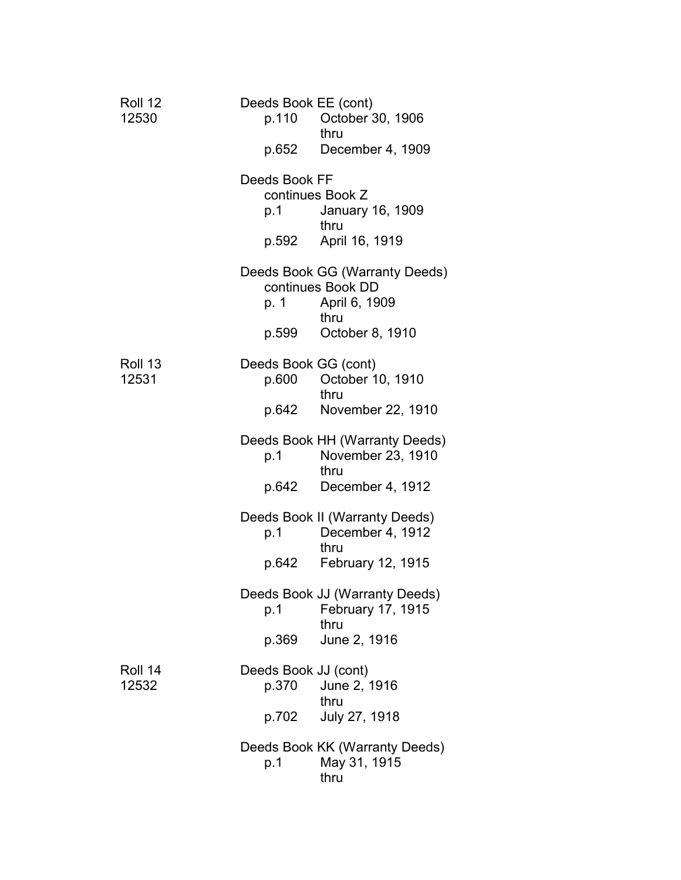| Roll 12<br>12530 | Deeds Book EE (cont)<br>p.652 | p.110 October 30, 1906<br>thru<br>December 4, 1909                   |
|------------------|-------------------------------|----------------------------------------------------------------------|
|                  |                               |                                                                      |
|                  | Deeds Book FF<br>p.1          | continues Book Z<br>January 16, 1909                                 |
|                  |                               | thru<br>p.592 April 16, 1919                                         |
|                  | p. 1                          | Deeds Book GG (Warranty Deeds)<br>continues Book DD<br>April 6, 1909 |
|                  | p.599                         | thru<br>October 8, 1910                                              |
|                  |                               |                                                                      |
| Roll 13<br>12531 |                               | Deeds Book GG (cont)<br>p.600 October 10, 1910<br>thru               |
|                  | p.642                         | November 22, 1910                                                    |
|                  | p.1                           | Deeds Book HH (Warranty Deeds)<br>November 23, 1910<br>thru          |
|                  |                               | p.642 December 4, 1912                                               |
|                  |                               | Deeds Book II (Warranty Deeds)<br>p.1 December 4, 1912<br>thru       |
|                  |                               | p.642 February 12, 1915                                              |
|                  | p.1                           | Deeds Book JJ (Warranty Deeds)<br>February 17, 1915<br>thru          |
|                  | p.369                         | June 2, 1916                                                         |
| Roll 14<br>12532 | Deeds Book JJ (cont)<br>p.370 | June 2, 1916                                                         |
|                  | p.702                         | thru<br>July 27, 1918                                                |
|                  | p.1                           | Deeds Book KK (Warranty Deeds)<br>May 31, 1915<br>thru               |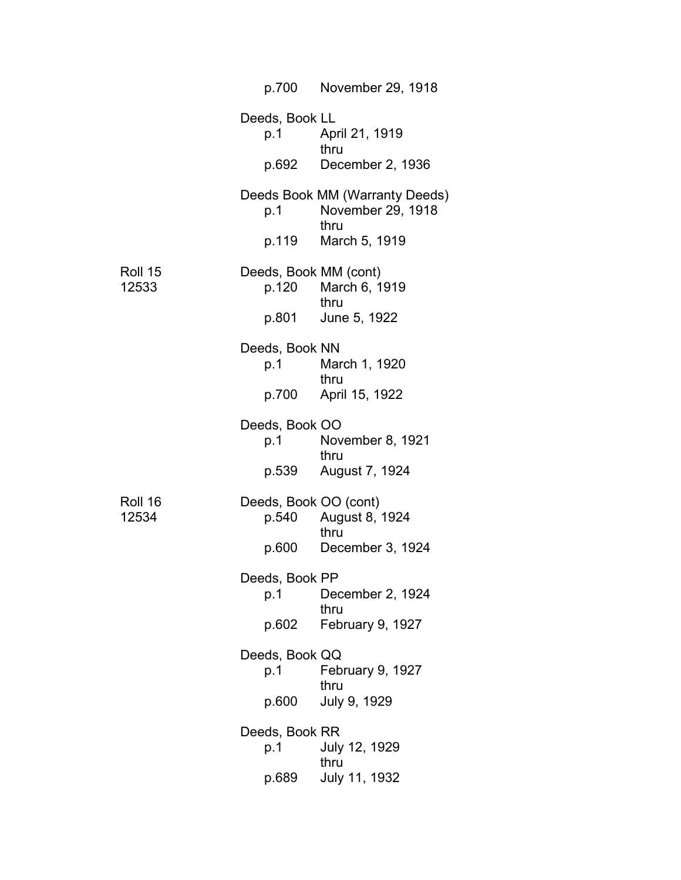|                  | p.700                          | November 29, 1918                                           |
|------------------|--------------------------------|-------------------------------------------------------------|
|                  | Deeds, Book LL<br>p.1          | April 21, 1919<br>thru                                      |
|                  |                                | p.692 December 2, 1936                                      |
|                  | p.1                            | Deeds Book MM (Warranty Deeds)<br>November 29, 1918<br>thru |
|                  | p.119                          | March 5, 1919                                               |
| Roll 15<br>12533 | Deeds, Book MM (cont)<br>p.120 | March 6, 1919<br>thru                                       |
|                  | p.801                          | June 5, 1922                                                |
|                  | Deeds, Book NN<br>p.1          | March 1, 1920<br>thru                                       |
|                  | p.700                          | April 15, 1922                                              |
|                  | Deeds, Book OO<br>p.1          | November 8, 1921<br>thru                                    |
|                  | p.539                          | August 7, 1924                                              |
| Roll 16<br>12534 | Deeds, Book OO (cont)<br>p.540 | August 8, 1924<br>thru                                      |
|                  | p.600                          | December 3, 1924                                            |
|                  | Deeds, Book PP<br>p.1          | December 2, 1924<br>thru                                    |
|                  | p.602                          | February 9, 1927                                            |
|                  | Deeds, Book QQ<br>p.1          | February 9, 1927<br>thru                                    |
|                  | p.600                          | July 9, 1929                                                |
|                  | Deeds, Book RR<br>p.1          | July 12, 1929<br>thru                                       |
|                  | p.689                          | July 11, 1932                                               |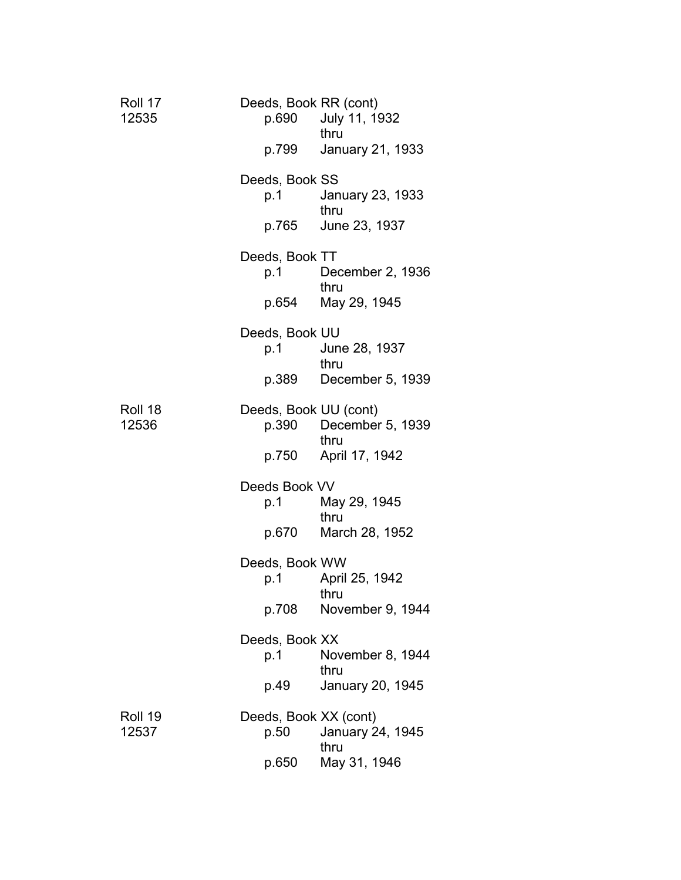| Roll 17<br>12535 |                       | Deeds, Book RR (cont)<br>p.690 July 11, 1932<br>thru     |
|------------------|-----------------------|----------------------------------------------------------|
|                  | p.799                 | January 21, 1933                                         |
|                  | Deeds, Book SS<br>p.1 | January 23, 1933<br>thru                                 |
|                  | p.765                 | June 23, 1937                                            |
|                  | Deeds, Book TT<br>p.1 | December 2, 1936<br>thru                                 |
|                  | p.654                 | May 29, 1945                                             |
|                  | Deeds, Book UU<br>p.1 | June 28, 1937                                            |
|                  | p.389                 | thru<br>December 5, 1939                                 |
| Roll 18<br>12536 |                       | Deeds, Book UU (cont)<br>p.390 December 5, 1939<br>thru  |
|                  | p.750                 | April 17, 1942                                           |
|                  | Deeds Book VV         | p.1 May 29, 1945<br>thru                                 |
|                  | p.670                 | March 28, 1952                                           |
|                  | Deeds, Book WW<br>p.1 | April 25, 1942<br>thru                                   |
|                  | p.708                 | November 9, 1944                                         |
|                  | Deeds, Book XX<br>p.1 | November 8, 1944<br>thru                                 |
|                  | p.49                  | January 20, 1945                                         |
| Roll 19<br>12537 | p.50                  | Deeds, Book XX (cont)<br><b>January 24, 1945</b><br>thru |
|                  | p.650                 | May 31, 1946                                             |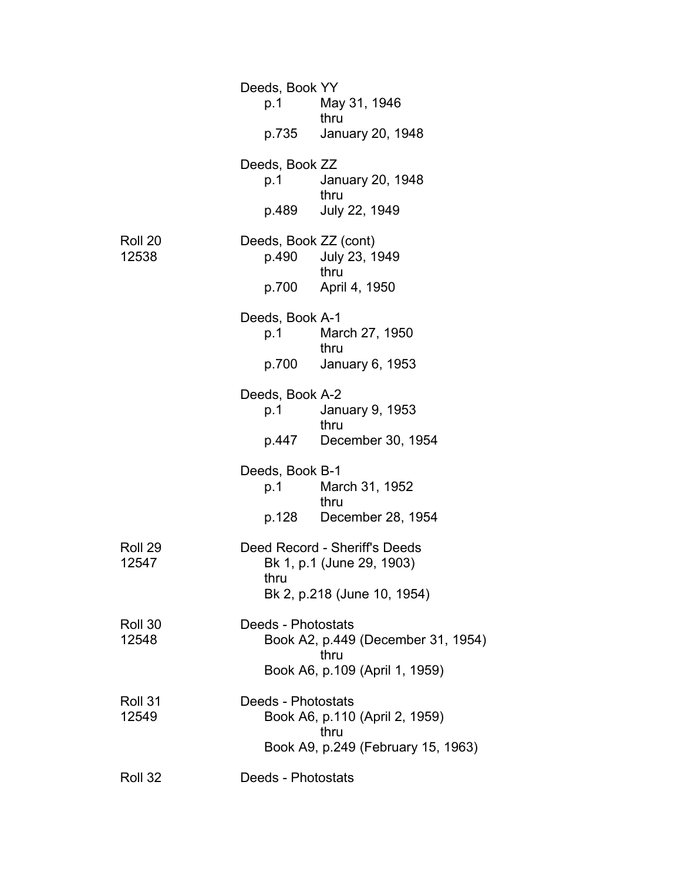|                  | Deeds, Book YY<br>p.1          | May 31, 1946<br>thru<br>p.735 January 20, 1948                                            |
|------------------|--------------------------------|-------------------------------------------------------------------------------------------|
|                  | Deeds, Book ZZ<br>p.1          | January 20, 1948<br>thru                                                                  |
|                  | p.489                          | July 22, 1949                                                                             |
| Roll 20<br>12538 | Deeds, Book ZZ (cont)<br>p.490 | July 23, 1949<br>thru                                                                     |
|                  |                                | p.700 April 4, 1950                                                                       |
|                  | Deeds, Book A-1<br>p.1         | March 27, 1950<br>thru                                                                    |
|                  |                                | p.700 January 6, 1953                                                                     |
|                  | Deeds, Book A-2<br>p.1         | January 9, 1953<br>thru                                                                   |
|                  |                                | p.447 December 30, 1954                                                                   |
|                  | Deeds, Book B-1<br>p.1         | March 31, 1952<br>thru                                                                    |
|                  |                                | p.128 December 28, 1954                                                                   |
| Roll 29<br>12547 | thru                           | Deed Record - Sheriff's Deeds<br>Bk 1, p.1 (June 29, 1903)<br>Bk 2, p.218 (June 10, 1954) |
| Roll 30<br>12548 | Deeds - Photostats             | Book A2, p.449 (December 31, 1954)<br>thru                                                |
|                  |                                | Book A6, p.109 (April 1, 1959)                                                            |
| Roll 31<br>12549 | Deeds - Photostats             | Book A6, p.110 (April 2, 1959)<br>thru<br>Book A9, p.249 (February 15, 1963)              |
| Roll 32          | Deeds - Photostats             |                                                                                           |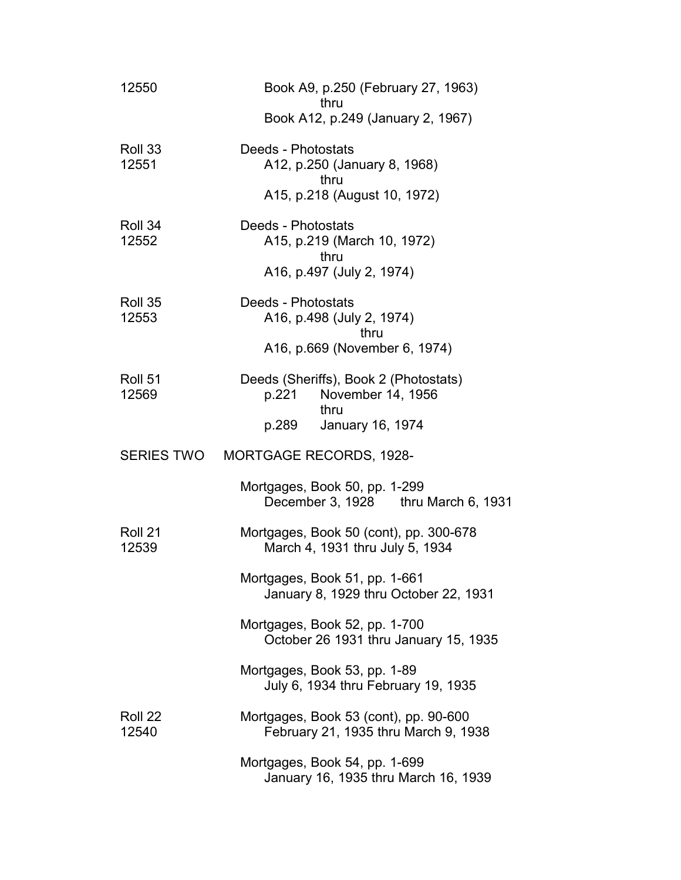| 12550             | Book A9, p.250 (February 27, 1963)<br>thru                                                               |
|-------------------|----------------------------------------------------------------------------------------------------------|
|                   | Book A12, p.249 (January 2, 1967)                                                                        |
| Roll 33<br>12551  | Deeds - Photostats<br>A12, p.250 (January 8, 1968)<br>thru<br>A15, p.218 (August 10, 1972)               |
| Roll 34<br>12552  | Deeds - Photostats<br>A15, p.219 (March 10, 1972)<br>thru<br>A16, p.497 (July 2, 1974)                   |
| Roll 35<br>12553  | Deeds - Photostats<br>A16, p.498 (July 2, 1974)<br>thru<br>A16, p.669 (November 6, 1974)                 |
| Roll 51<br>12569  | Deeds (Sheriffs), Book 2 (Photostats)<br>November 14, 1956<br>p.221<br>thru<br>January 16, 1974<br>p.289 |
| <b>SERIES TWO</b> | <b>MORTGAGE RECORDS, 1928-</b>                                                                           |
|                   | Mortgages, Book 50, pp. 1-299<br>December 3, 1928 thru March 6, 1931                                     |
| Roll 21<br>12539  | Mortgages, Book 50 (cont), pp. 300-678<br>March 4, 1931 thru July 5, 1934                                |
|                   | Mortgages, Book 51, pp. 1-661<br>January 8, 1929 thru October 22, 1931                                   |
|                   | Mortgages, Book 52, pp. 1-700<br>October 26 1931 thru January 15, 1935                                   |
|                   | Mortgages, Book 53, pp. 1-89<br>July 6, 1934 thru February 19, 1935                                      |
| Roll 22<br>12540  | Mortgages, Book 53 (cont), pp. 90-600<br>February 21, 1935 thru March 9, 1938                            |
|                   | Mortgages, Book 54, pp. 1-699<br>January 16, 1935 thru March 16, 1939                                    |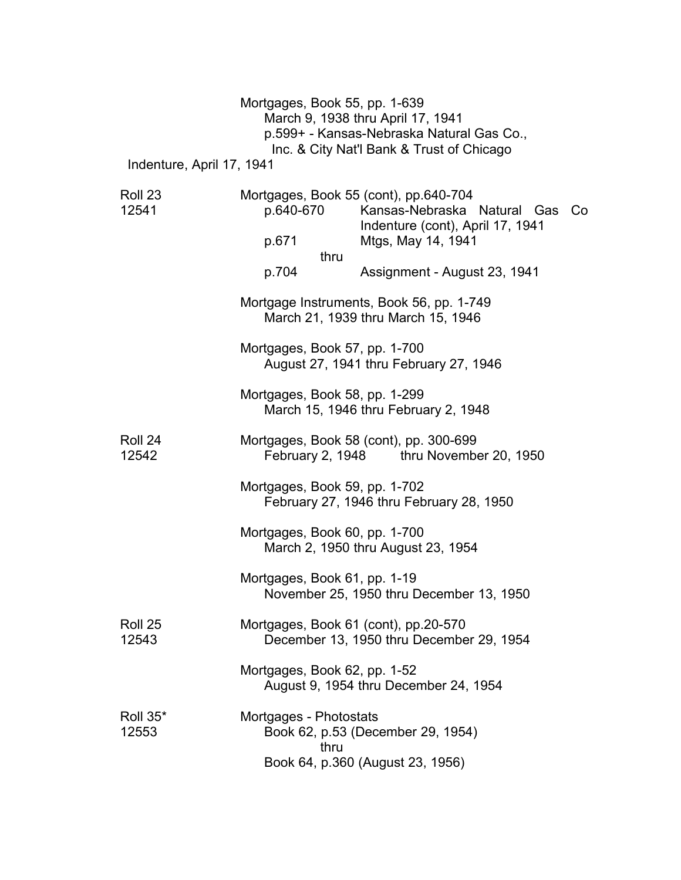|                           | Mortgages, Book 55, pp. 1-639        | March 9, 1938 thru April 17, 1941<br>p.599+ - Kansas-Nebraska Natural Gas Co.,<br>Inc. & City Nat'l Bank & Trust of Chicago          |  |
|---------------------------|--------------------------------------|--------------------------------------------------------------------------------------------------------------------------------------|--|
| Indenture, April 17, 1941 |                                      |                                                                                                                                      |  |
| Roll 23<br>12541          | p.640-670<br>p.671<br>thru           | Mortgages, Book 55 (cont), pp.640-704<br>Kansas-Nebraska Natural Gas<br>Co<br>Indenture (cont), April 17, 1941<br>Mtgs, May 14, 1941 |  |
|                           | p.704                                | Assignment - August 23, 1941                                                                                                         |  |
|                           |                                      | Mortgage Instruments, Book 56, pp. 1-749<br>March 21, 1939 thru March 15, 1946                                                       |  |
|                           | Mortgages, Book 57, pp. 1-700        | August 27, 1941 thru February 27, 1946                                                                                               |  |
|                           | Mortgages, Book 58, pp. 1-299        | March 15, 1946 thru February 2, 1948                                                                                                 |  |
| Roll 24<br>12542          |                                      | Mortgages, Book 58 (cont), pp. 300-699<br>February 2, 1948 thru November 20, 1950                                                    |  |
|                           | Mortgages, Book 59, pp. 1-702        | February 27, 1946 thru February 28, 1950                                                                                             |  |
|                           | Mortgages, Book 60, pp. 1-700        | March 2, 1950 thru August 23, 1954                                                                                                   |  |
|                           | Mortgages, Book 61, pp. 1-19         | November 25, 1950 thru December 13, 1950                                                                                             |  |
| Roll 25<br>12543          | Mortgages, Book 61 (cont), pp.20-570 | December 13, 1950 thru December 29, 1954                                                                                             |  |
|                           | Mortgages, Book 62, pp. 1-52         | August 9, 1954 thru December 24, 1954                                                                                                |  |
| Roll 35*<br>12553         | Mortgages - Photostats<br>thru       | Book 62, p.53 (December 29, 1954)<br>Book 64, p.360 (August 23, 1956)                                                                |  |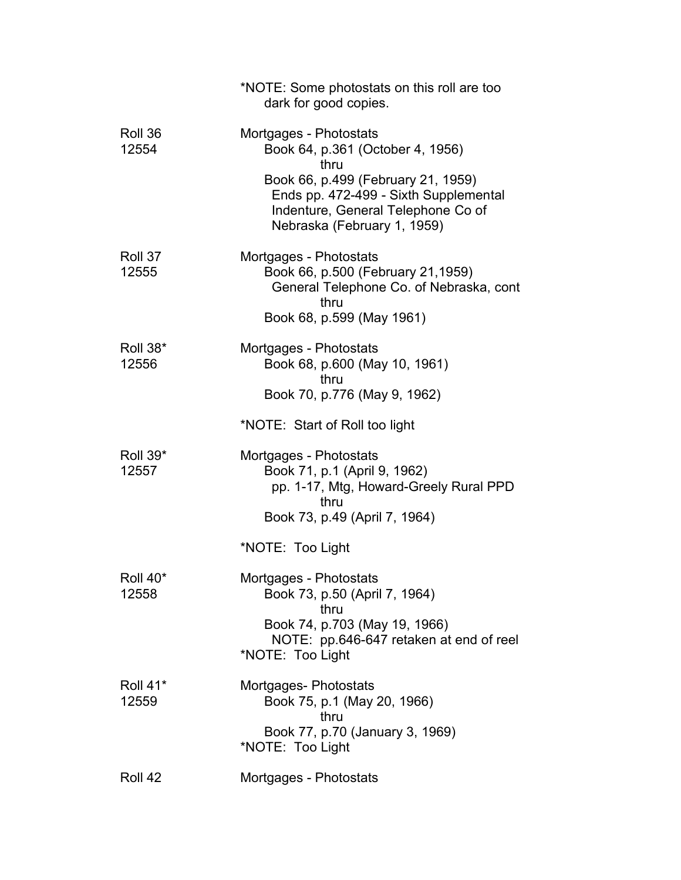|                               | *NOTE: Some photostats on this roll are too<br>dark for good copies.                                                                                                                                                   |
|-------------------------------|------------------------------------------------------------------------------------------------------------------------------------------------------------------------------------------------------------------------|
| Roll 36<br>12554              | Mortgages - Photostats<br>Book 64, p.361 (October 4, 1956)<br>thru<br>Book 66, p.499 (February 21, 1959)<br>Ends pp. 472-499 - Sixth Supplemental<br>Indenture, General Telephone Co of<br>Nebraska (February 1, 1959) |
| Roll 37<br>12555              | Mortgages - Photostats<br>Book 66, p.500 (February 21,1959)<br>General Telephone Co. of Nebraska, cont<br>thru<br>Book 68, p.599 (May 1961)                                                                            |
| Roll 38*<br>12556             | Mortgages - Photostats<br>Book 68, p.600 (May 10, 1961)<br>thru<br>Book 70, p.776 (May 9, 1962)                                                                                                                        |
|                               | *NOTE: Start of Roll too light                                                                                                                                                                                         |
| Roll 39*<br>12557             | Mortgages - Photostats<br>Book 71, p.1 (April 9, 1962)<br>pp. 1-17, Mtg, Howard-Greely Rural PPD<br>thru<br>Book 73, p.49 (April 7, 1964)                                                                              |
|                               | *NOTE: Too Light                                                                                                                                                                                                       |
| Roll 40 <sup>*</sup><br>12558 | Mortgages - Photostats<br>Book 73, p.50 (April 7, 1964)<br>thru<br>Book 74, p.703 (May 19, 1966)<br>NOTE: pp.646-647 retaken at end of reel<br>*NOTE: Too Light                                                        |
| Roll 41*<br>12559             | Mortgages-Photostats<br>Book 75, p.1 (May 20, 1966)<br>thru<br>Book 77, p.70 (January 3, 1969)<br>*NOTE: Too Light                                                                                                     |
| Roll 42                       | Mortgages - Photostats                                                                                                                                                                                                 |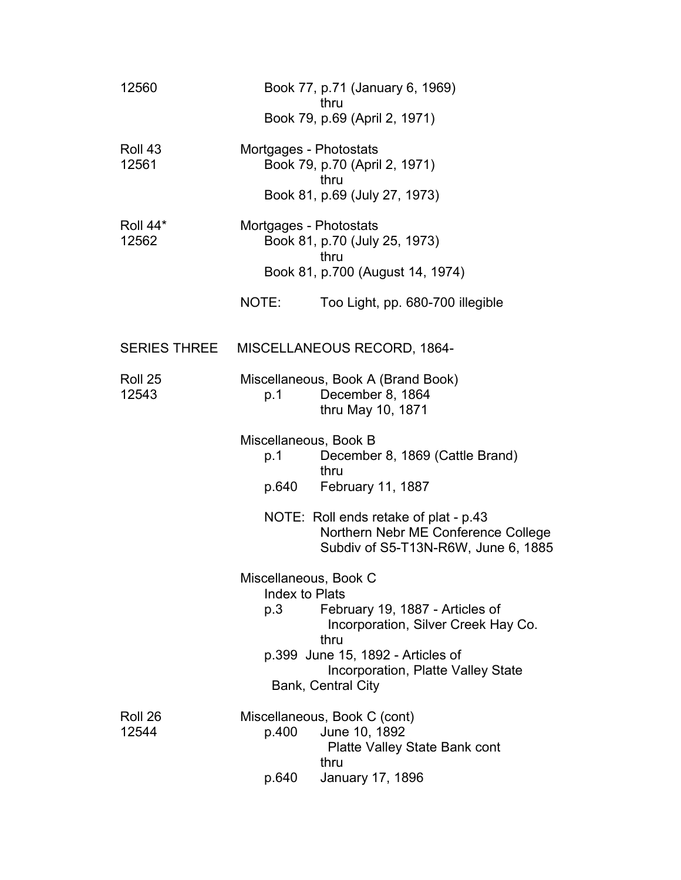| 12560             | Book 77, p.71 (January 6, 1969)<br>thru                                                                                                                                                                                           |
|-------------------|-----------------------------------------------------------------------------------------------------------------------------------------------------------------------------------------------------------------------------------|
|                   | Book 79, p.69 (April 2, 1971)                                                                                                                                                                                                     |
| Roll 43<br>12561  | Mortgages - Photostats<br>Book 79, p.70 (April 2, 1971)<br>thru<br>Book 81, p.69 (July 27, 1973)                                                                                                                                  |
| Roll 44*<br>12562 | Mortgages - Photostats<br>Book 81, p.70 (July 25, 1973)<br>thru<br>Book 81, p.700 (August 14, 1974)                                                                                                                               |
|                   | NOTE:<br>Too Light, pp. 680-700 illegible                                                                                                                                                                                         |
|                   | SERIES THREE MISCELLANEOUS RECORD, 1864-                                                                                                                                                                                          |
| Roll 25<br>12543  | Miscellaneous, Book A (Brand Book)<br>December 8, 1864<br>p.1<br>thru May 10, 1871                                                                                                                                                |
|                   | Miscellaneous, Book B<br>December 8, 1869 (Cattle Brand)<br>p.1<br>thru<br>February 11, 1887<br>p.640                                                                                                                             |
|                   | NOTE: Roll ends retake of plat - p.43<br>Northern Nebr ME Conference College<br>Subdiv of S5-T13N-R6W, June 6, 1885                                                                                                               |
|                   | Miscellaneous, Book C<br>Index to Plats<br>February 19, 1887 - Articles of<br>p.3<br>Incorporation, Silver Creek Hay Co.<br>thru<br>p.399 June 15, 1892 - Articles of<br>Incorporation, Platte Valley State<br>Bank, Central City |
| Roll 26<br>12544  | Miscellaneous, Book C (cont)<br>June 10, 1892<br>p.400<br><b>Platte Valley State Bank cont</b><br>thru<br><b>January 17, 1896</b><br>p.640                                                                                        |
|                   |                                                                                                                                                                                                                                   |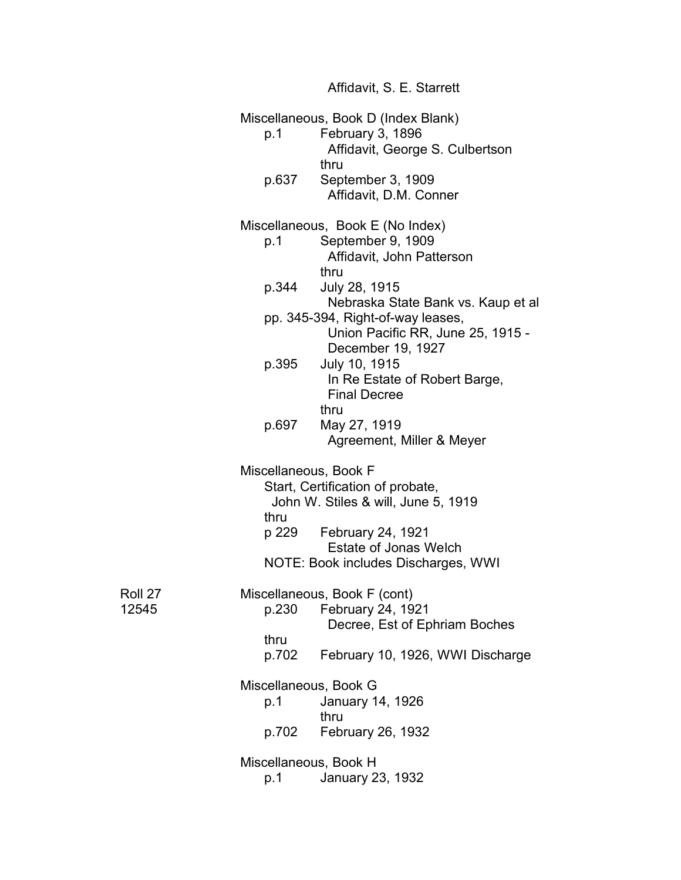|                  |                              | Affidavit, S. E. Starrett                                                                   |
|------------------|------------------------------|---------------------------------------------------------------------------------------------|
|                  | p.1                          | Miscellaneous, Book D (Index Blank)<br>February 3, 1896<br>Affidavit, George S. Culbertson  |
|                  | p.637                        | thru<br>September 3, 1909<br>Affidavit, D.M. Conner                                         |
|                  |                              | Miscellaneous, Book E (No Index)                                                            |
|                  | p.1                          | September 9, 1909<br>Affidavit, John Patterson<br>thru                                      |
|                  | p.344                        | July 28, 1915<br>Nebraska State Bank vs. Kaup et al                                         |
|                  |                              | pp. 345-394, Right-of-way leases,<br>Union Pacific RR, June 25, 1915 -<br>December 19, 1927 |
|                  | p.395                        | July 10, 1915<br>In Re Estate of Robert Barge,<br><b>Final Decree</b><br>thru               |
|                  | p.697                        | May 27, 1919<br>Agreement, Miller & Meyer                                                   |
|                  | Miscellaneous, Book F        | Start, Certification of probate,<br>John W. Stiles & will, June 5, 1919                     |
|                  | thru                         | p 229 February 24, 1921<br><b>Estate of Jonas Welch</b>                                     |
|                  |                              | NOTE: Book includes Discharges, WWI                                                         |
| Roll 27<br>12545 | p.230                        | Miscellaneous, Book F (cont)<br>February 24, 1921<br>Decree, Est of Ephriam Boches          |
|                  | thru<br>p.702                | February 10, 1926, WWI Discharge                                                            |
|                  | Miscellaneous, Book G<br>p.1 | January 14, 1926<br>thru                                                                    |
|                  |                              | p.702 February 26, 1932                                                                     |
|                  | Miscellaneous, Book H<br>p.1 | January 23, 1932                                                                            |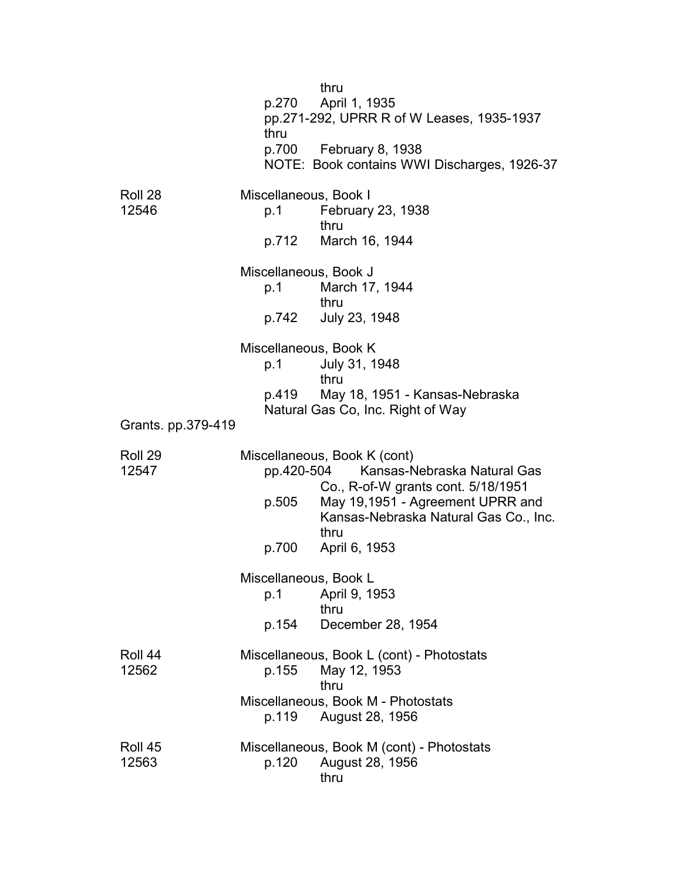|                    | p.270<br>thru                         | thru<br>April 1, 1935<br>pp.271-292, UPRR R of W Leases, 1935-1937<br>p.700 February 8, 1938<br>NOTE: Book contains WWI Discharges, 1926-37                                                                        |
|--------------------|---------------------------------------|--------------------------------------------------------------------------------------------------------------------------------------------------------------------------------------------------------------------|
| Roll 28<br>12546   | Miscellaneous, Book I<br>p.1          | February 23, 1938<br>thru<br>p.712 March 16, 1944                                                                                                                                                                  |
|                    | Miscellaneous, Book J<br>p.1          | March 17, 1944<br>thru<br>p.742 July 23, 1948                                                                                                                                                                      |
|                    | Miscellaneous, Book K<br>p.1          | July 31, 1948<br>thru<br>p.419 May 18, 1951 - Kansas-Nebraska                                                                                                                                                      |
| Grants. pp.379-419 |                                       | Natural Gas Co, Inc. Right of Way                                                                                                                                                                                  |
| Roll 29<br>12547   | p.505<br>p.700                        | Miscellaneous, Book K (cont)<br>pp.420-504 Kansas-Nebraska Natural Gas<br>Co., R-of-W grants cont. 5/18/1951<br>May 19,1951 - Agreement UPRR and<br>Kansas-Nebraska Natural Gas Co., Inc.<br>thru<br>April 6, 1953 |
|                    | Miscellaneous, Book L<br>p.1<br>p.154 | April 9, 1953<br>thru<br>December 28, 1954                                                                                                                                                                         |
| Roll 44<br>12562   | p.155                                 | Miscellaneous, Book L (cont) - Photostats<br>May 12, 1953<br>thru<br>Miscellaneous, Book M - Photostats                                                                                                            |
|                    | p.119                                 | August 28, 1956                                                                                                                                                                                                    |
| Roll 45<br>12563   | p.120                                 | Miscellaneous, Book M (cont) - Photostats<br>August 28, 1956<br>thru                                                                                                                                               |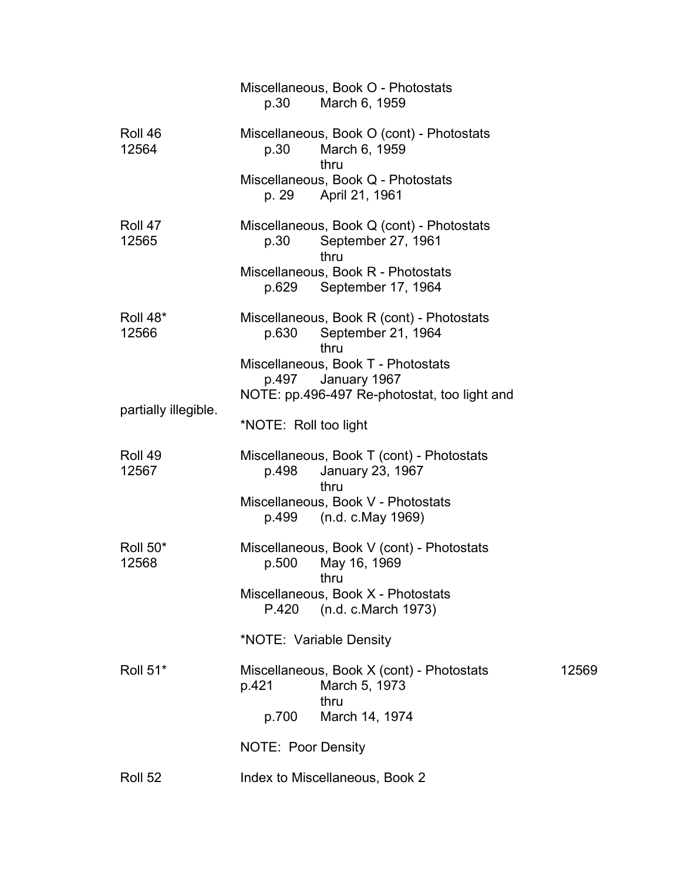|                      | Miscellaneous, Book O - Photostats<br>p.30<br>March 6, 1959                                                 |       |
|----------------------|-------------------------------------------------------------------------------------------------------------|-------|
| Roll 46<br>12564     | Miscellaneous, Book O (cont) - Photostats<br>March 6, 1959<br>p.30<br>thru                                  |       |
|                      | Miscellaneous, Book Q - Photostats<br>p. 29<br>April 21, 1961                                               |       |
| Roll 47<br>12565     | Miscellaneous, Book Q (cont) - Photostats<br>September 27, 1961<br>p.30<br>thru                             |       |
|                      | Miscellaneous, Book R - Photostats<br>p.629 September 17, 1964                                              |       |
| Roll 48*<br>12566    | Miscellaneous, Book R (cont) - Photostats<br>p.630<br>September 21, 1964<br>thru                            |       |
|                      | Miscellaneous, Book T - Photostats<br>January 1967<br>p.497<br>NOTE: pp.496-497 Re-photostat, too light and |       |
| partially illegible. | *NOTE: Roll too light                                                                                       |       |
| Roll 49<br>12567     | Miscellaneous, Book T (cont) - Photostats<br>p.498<br>January 23, 1967<br>thru                              |       |
|                      | Miscellaneous, Book V - Photostats<br>p.499 (n.d. c.May 1969)                                               |       |
| Roll 50*<br>12568    | Miscellaneous, Book V (cont) - Photostats<br>May 16, 1969<br>p.500<br>thru                                  |       |
|                      | Miscellaneous, Book X - Photostats<br>P.420<br>(n.d. c. March 1973)                                         |       |
|                      | *NOTE: Variable Density                                                                                     |       |
| <b>Roll 51*</b>      | Miscellaneous, Book X (cont) - Photostats<br>March 5, 1973<br>p.421<br>thru                                 | 12569 |
|                      | p.700<br>March 14, 1974                                                                                     |       |
|                      | NOTE: Poor Density                                                                                          |       |
| Roll 52              | Index to Miscellaneous, Book 2                                                                              |       |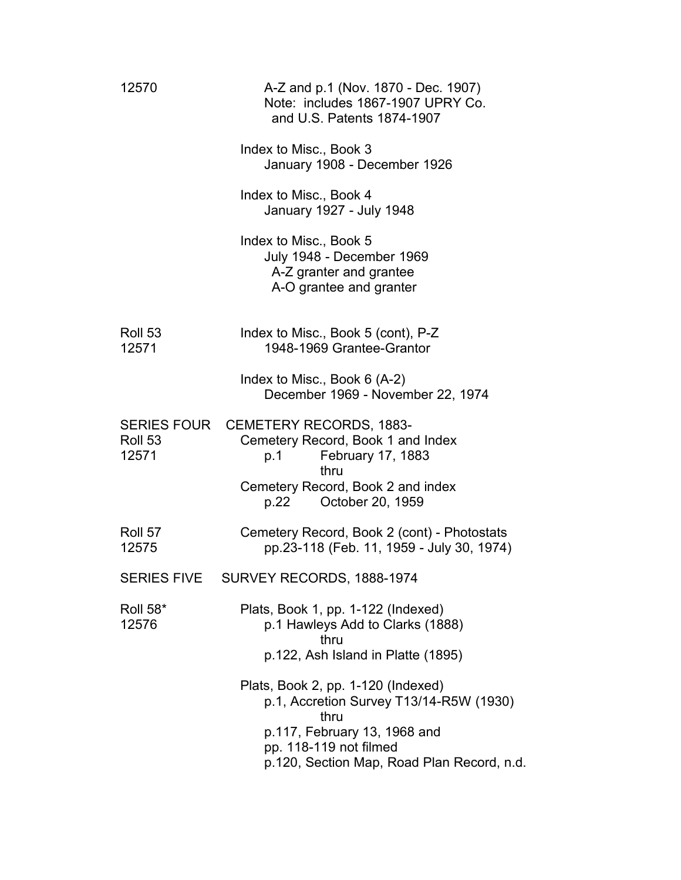| 12570                    | A-Z and p.1 (Nov. 1870 - Dec. 1907)<br>Note: includes 1867-1907 UPRY Co.<br>and U.S. Patents 1874-1907                                                                        |
|--------------------------|-------------------------------------------------------------------------------------------------------------------------------------------------------------------------------|
|                          | Index to Misc., Book 3<br>January 1908 - December 1926                                                                                                                        |
|                          | Index to Misc., Book 4<br>January 1927 - July 1948                                                                                                                            |
|                          | Index to Misc., Book 5<br><b>July 1948 - December 1969</b><br>A-Z granter and grantee<br>A-O grantee and granter                                                              |
| Roll 53<br>12571         | Index to Misc., Book 5 (cont), P-Z<br>1948-1969 Grantee-Grantor                                                                                                               |
|                          | Index to Misc., Book 6 (A-2)<br>December 1969 - November 22, 1974                                                                                                             |
| Roll 53<br>12571         | SERIES FOUR CEMETERY RECORDS, 1883-<br>Cemetery Record, Book 1 and Index<br>February 17, 1883<br>p.1<br>thru<br>Cemetery Record, Book 2 and index<br>October 20, 1959<br>p.22 |
| Roll 57<br>12575         | Cemetery Record, Book 2 (cont) - Photostats<br>pp.23-118 (Feb. 11, 1959 - July 30, 1974)                                                                                      |
| <b>SERIES FIVE</b>       | SURVEY RECORDS, 1888-1974                                                                                                                                                     |
| <b>Roll 58*</b><br>12576 | Plats, Book 1, pp. 1-122 (Indexed)<br>p.1 Hawleys Add to Clarks (1888)<br>thru<br>p.122, Ash Island in Platte (1895)                                                          |
|                          | Plats, Book 2, pp. 1-120 (Indexed)<br>p.1, Accretion Survey T13/14-R5W (1930)<br>thru<br>p.117, February 13, 1968 and                                                         |
|                          | pp. 118-119 not filmed<br>p.120, Section Map, Road Plan Record, n.d.                                                                                                          |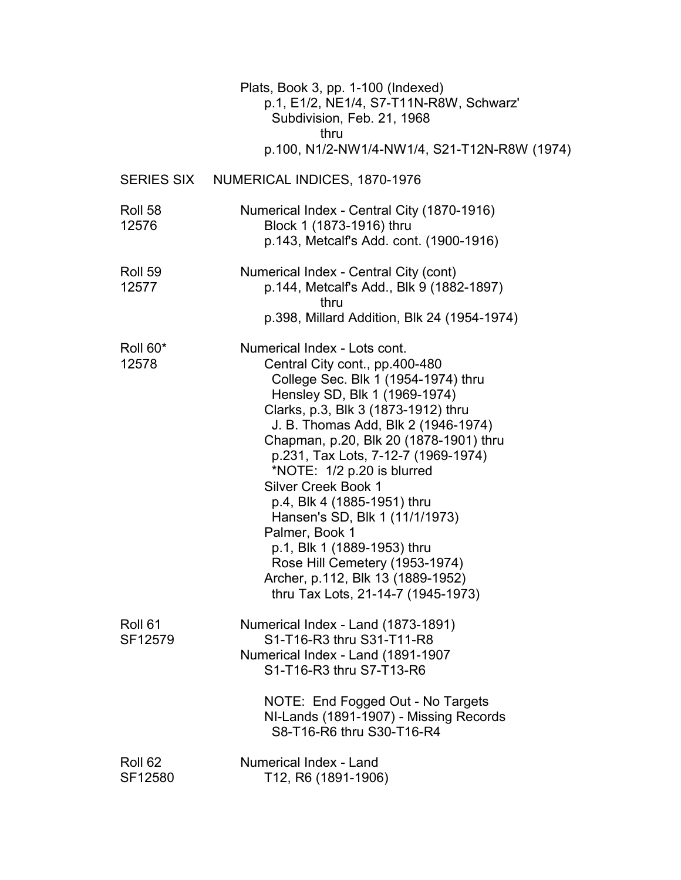|                               | Plats, Book 3, pp. 1-100 (Indexed)<br>p.1, E1/2, NE1/4, S7-T11N-R8W, Schwarz'<br>Subdivision, Feb. 21, 1968<br>thru<br>p.100, N1/2-NW1/4-NW1/4, S21-T12N-R8W (1974)                                                                                                                                                                                                                                                                                                                                                                                                                              |
|-------------------------------|--------------------------------------------------------------------------------------------------------------------------------------------------------------------------------------------------------------------------------------------------------------------------------------------------------------------------------------------------------------------------------------------------------------------------------------------------------------------------------------------------------------------------------------------------------------------------------------------------|
|                               | SERIES SIX NUMERICAL INDICES, 1870-1976                                                                                                                                                                                                                                                                                                                                                                                                                                                                                                                                                          |
| Roll 58<br>12576              | Numerical Index - Central City (1870-1916)<br>Block 1 (1873-1916) thru<br>p.143, Metcalf's Add. cont. (1900-1916)                                                                                                                                                                                                                                                                                                                                                                                                                                                                                |
| Roll 59<br>12577              | Numerical Index - Central City (cont)<br>p.144, Metcalf's Add., Blk 9 (1882-1897)<br>thru<br>p.398, Millard Addition, Blk 24 (1954-1974)                                                                                                                                                                                                                                                                                                                                                                                                                                                         |
| Roll 60*<br>12578             | Numerical Index - Lots cont.<br>Central City cont., pp.400-480<br>College Sec. Blk 1 (1954-1974) thru<br>Hensley SD, Blk 1 (1969-1974)<br>Clarks, p.3, Blk 3 (1873-1912) thru<br>J. B. Thomas Add, Blk 2 (1946-1974)<br>Chapman, p.20, Blk 20 (1878-1901) thru<br>p.231, Tax Lots, 7-12-7 (1969-1974)<br>*NOTE: 1/2 p.20 is blurred<br><b>Silver Creek Book 1</b><br>p.4, Blk 4 (1885-1951) thru<br>Hansen's SD, Blk 1 (11/1/1973)<br>Palmer, Book 1<br>p.1, Blk 1 (1889-1953) thru<br>Rose Hill Cemetery (1953-1974)<br>Archer, p.112, Blk 13 (1889-1952)<br>thru Tax Lots, 21-14-7 (1945-1973) |
| Roll 61<br>SF12579            | Numerical Index - Land (1873-1891)<br>S1-T16-R3 thru S31-T11-R8<br>Numerical Index - Land (1891-1907<br>S1-T16-R3 thru S7-T13-R6<br>NOTE: End Fogged Out - No Targets<br>NI-Lands (1891-1907) - Missing Records<br>S8-T16-R6 thru S30-T16-R4                                                                                                                                                                                                                                                                                                                                                     |
| Roll <sub>62</sub><br>SF12580 | Numerical Index - Land<br>T12, R6 (1891-1906)                                                                                                                                                                                                                                                                                                                                                                                                                                                                                                                                                    |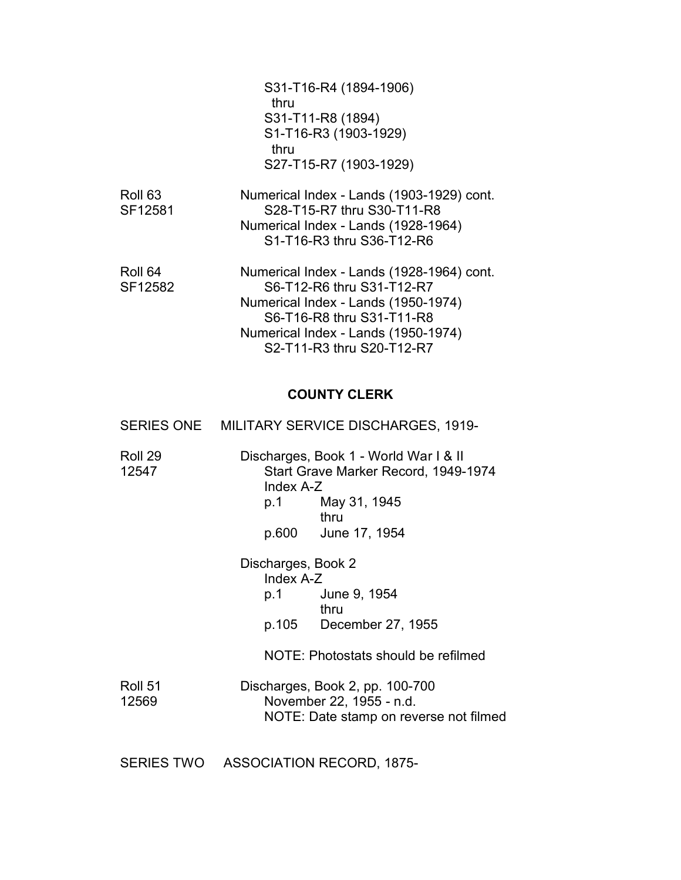|                               | S31-T16-R4 (1894-1906)<br>thru<br>S31-T11-R8 (1894)<br>S1-T16-R3 (1903-1929)<br>thru                                                                                                                           |
|-------------------------------|----------------------------------------------------------------------------------------------------------------------------------------------------------------------------------------------------------------|
|                               | S27-T15-R7 (1903-1929)                                                                                                                                                                                         |
| Roll <sub>63</sub><br>SF12581 | Numerical Index - Lands (1903-1929) cont.<br>S28-T15-R7 thru S30-T11-R8<br>Numerical Index - Lands (1928-1964)<br>S1-T16-R3 thru S36-T12-R6                                                                    |
| Roll 64<br>SF12582            | Numerical Index - Lands (1928-1964) cont.<br>S6-T12-R6 thru S31-T12-R7<br>Numerical Index - Lands (1950-1974)<br>S6-T16-R8 thru S31-T11-R8<br>Numerical Index - Lands (1950-1974)<br>S2-T11-R3 thru S20-T12-R7 |

# **COUNTY CLERK**

|                  | SERIES ONE MILITARY SERVICE DISCHARGES, 1919-                                                                                                 |
|------------------|-----------------------------------------------------------------------------------------------------------------------------------------------|
| Roll 29<br>12547 | Discharges, Book 1 - World War I & II<br>Start Grave Marker Record, 1949-1974<br>Index A-Z<br>p.1 May 31, 1945<br>thru<br>p.600 June 17, 1954 |
|                  | Discharges, Book 2<br>Index A-Z<br>p.1 June 9, 1954<br>thru<br>p.105 December 27, 1955<br>NOTE: Photostats should be refilmed                 |
| Roll 51<br>12569 | Discharges, Book 2, pp. 100-700<br>November 22, 1955 - n.d.<br>NOTE: Date stamp on reverse not filmed                                         |

SERIES TWO ASSOCIATION RECORD, 1875-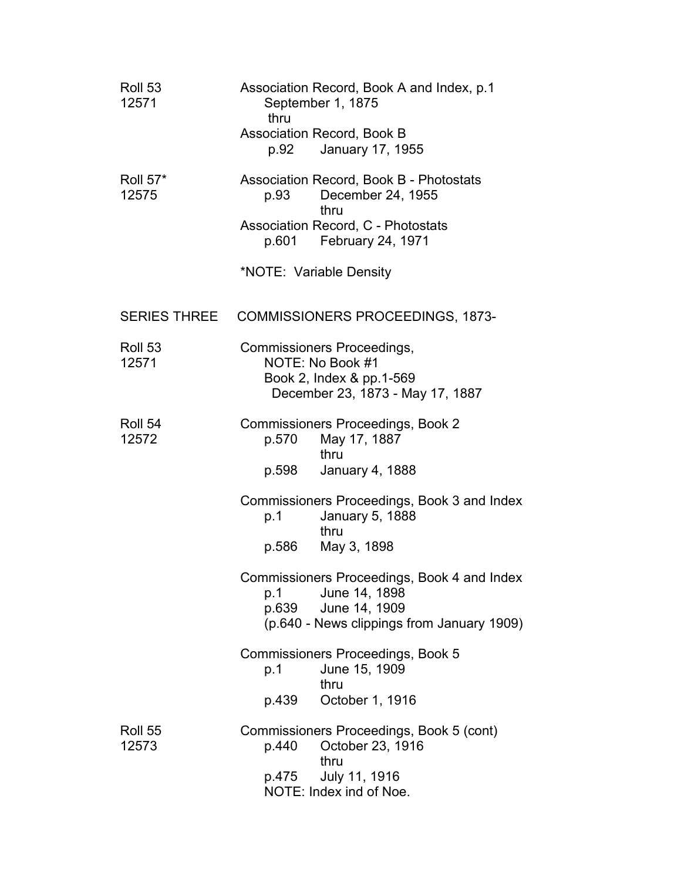| Roll 53<br>12571         | Association Record, Book A and Index, p.1<br>September 1, 1875<br>thru                                                                      |
|--------------------------|---------------------------------------------------------------------------------------------------------------------------------------------|
|                          | <b>Association Record, Book B</b><br>p.92<br>January 17, 1955                                                                               |
| <b>Roll 57*</b><br>12575 | Association Record, Book B - Photostats<br>December 24, 1955<br>p.93<br>thru                                                                |
|                          | <b>Association Record, C - Photostats</b><br>p.601 February 24, 1971                                                                        |
|                          | *NOTE: Variable Density                                                                                                                     |
|                          | SERIES THREE COMMISSIONERS PROCEEDINGS, 1873-                                                                                               |
| Roll 53<br>12571         | Commissioners Proceedings,<br>NOTE: No Book #1<br>Book 2, Index & pp.1-569<br>December 23, 1873 - May 17, 1887                              |
| Roll 54<br>12572         | <b>Commissioners Proceedings, Book 2</b><br>p.570<br>May 17, 1887<br>thru<br>p.598 January 4, 1888                                          |
|                          | Commissioners Proceedings, Book 3 and Index<br><b>January 5, 1888</b><br>p.1<br>thru<br>p.586<br>May 3, 1898                                |
|                          | Commissioners Proceedings, Book 4 and Index<br>June 14, 1898<br>p.1<br>p.639<br>June 14, 1909<br>(p.640 - News clippings from January 1909) |
|                          | Commissioners Proceedings, Book 5<br>June 15, 1909<br>p.1<br>thru                                                                           |
|                          | p.439<br>October 1, 1916                                                                                                                    |
| Roll 55<br>12573         | Commissioners Proceedings, Book 5 (cont)<br>October 23, 1916<br>p.440<br>thru<br>July 11, 1916<br>p.475                                     |
|                          | NOTE: Index ind of Noe.                                                                                                                     |